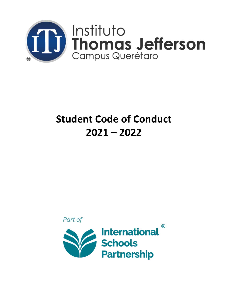

# **Student Code of Conduct 2021 – 2022**

Part of

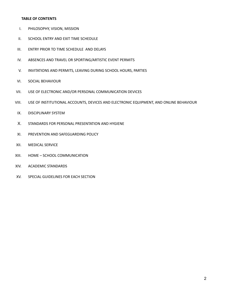## **TABLE OF CONTENTS**

- I. PHILOSOPHY, VISION, MISSION
- II. SCHOOL ENTRY AND EXIT TIME SCHEDULE
- III. ENTRY PRIOR TO TIME SCHEDULE AND DELAYS
- IV. ABSENCES AND TRAVEL OR SPORTING/ARTISTIC EVENT PERMITS
- V. INVITATIONS AND PERMITS, LEAVING DURING SCHOOL HOURS, PARTIES
- VI. SOCIAL BEHAVIOUR
- VII. USE OF ELECTRONIC AND/OR PERSONAL COMMUNICATION DEVICES
- VIII. USE OF INSTITUTIONAL ACCOUNTS, DEVICES AND ELECTRONIC EQUIPMENT, AND ONLINE BEHAVIOUR
- IX. DISCIPLINARY SYSTEM
- X. STANDARDS FOR PERSONAL PRESENTATION AND HYGIENE
- XI. PREVENTION AND SAFEGUARDING POLICY
- XII. MEDICAL SERVICE
- XIII. HOME SCHOOL COMMUNICATION
- XIV. ACADEMIC STANDARDS
- XV. SPECIAL GUIDELINES FOR EACH SECTION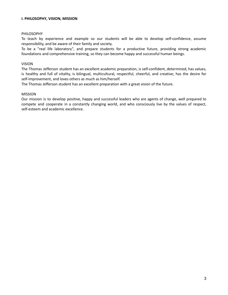#### **I. [PHILOSOPHY,](https://es.pons.com/traducci%C3%B3n/espa%C3%B1ol-ingl%C3%A9s/PHILOSOPHY) [VISION](https://es.pons.com/traducci%C3%B3n/espa%C3%B1ol-ingl%C3%A9s/VISION), [MISSION](https://es.pons.com/traducci%C3%B3n/espa%C3%B1ol-ingl%C3%A9s/MISSION)**

## PHILOSOPHY

To teach by experience and example so our students will be able to develop self-confidence, assume responsibility, and be aware of their family and society.

To be a "real life laboratory", and prepare students for a productive future, providing strong academic foundations and comprehensive training, so they can become happy and successful human beings.

#### VISION

The Thomas Jefferson student has an excellent academic preparation, is self-confident, determined, has values, is healthy and full of vitality, is bilingual, multicultural, respectful, cheerful, and creative; has the desire for self-improvement, and loves others as much as him/herself.

The Thomas Jefferson student has an excellent preparation with a great vision of the future.

#### MISSION

Our mission is to develop positive, happy and successful leaders who are agents of change, well prepared to compete and cooperate in a constantly changing world, and who consciously live by the values of respect, self-esteem and academic excellence.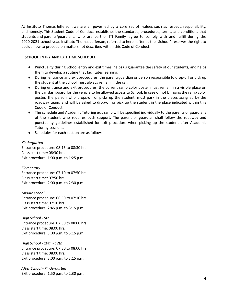At Instituto [Thomas](https://es.pons.com/traducci%C3%B3n/ingl%C3%A9s-espa%C3%B1ol/Thomas) [Jefferson,](https://es.pons.com/traducci%C3%B3n/ingl%C3%A9s-espa%C3%B1ol/Jefferson) [we](https://es.pons.com/traducci%C3%B3n/ingl%C3%A9s-espa%C3%B1ol/we) are all governed by a core set of values such as respect, responsibility, [and](https://es.pons.com/traducci%C3%B3n/ingl%C3%A9s-espa%C3%B1ol/and) [honesty.](https://es.pons.com/traducci%C3%B3n/ingl%C3%A9s-espa%C3%B1ol/honesty) [This](https://es.pons.com/traducci%C3%B3n/ingl%C3%A9s-espa%C3%B1ol/This) Student Code of Conduct establishes the standards, procedures, terms, and conditions that students [and](https://es.pons.com/traducci%C3%B3n/ingl%C3%A9s-espa%C3%B1ol/and) [parents/guardians](https://es.pons.com/traducci%C3%B3n/ingl%C3%A9s-espa%C3%B1ol/parents/guardians), who are part of ITJ Family, agree to comply with and fulfill during the 2020-2021 [school](https://es.pons.com/traducci%C3%B3n/ingl%C3%A9s-espa%C3%B1ol/2019-202) year. Instituto Thomas Jefferson, referred to hereinafter as the "School", reserves the right to decide how to proceed on matters not described within this Code of Conduct.

## **[II](https://es.pons.com/traducci%C3%B3n/ingl%C3%A9s-espa%C3%B1ol/II).SCHOOL ENTRY AND EXIT TIME SCHEDULE**

- Punctuality during School entry and exit times helps us [guarantee](https://es.pons.com/traducci%C3%B3n/ingl%C3%A9s-espa%C3%B1ol/departure) the safety of our students, and helps them to develop a routine that [facilitates](https://es.pons.com/traducci%C3%B3n/ingl%C3%A9s-espa%C3%B1ol/departure) learning.
- During entrance and exit procedures, the parent/guardian or person responsible to drop-off or pick up the student at the School must always remain in the car.
- During entrance and exit procedures, the current ramp color poster must remain in a visible place on the car dashboard for the vehicle to be allowed access to School. In case of not bringing the ramp color poster, the person who drops-off or picks up the student, must park in the places assigned by the roadway team, and will be asked to drop-off or pick up the student in the place indicated within this Code of Conduct.
- The schedule and Academic Tutoring exit ramp will be specified individually to the parents or guardians of the student who requires such support. The parent or guardian shall follow the roadway and punctuality guidelines established for exit procedure when picking up the student after Academic Tutoring sessions.
- Schedules for each section are as follows:

#### *Kindergarten*

Entrance procedure: 08:15 to 08:30 hrs. Class start time: 08:30 hrs. Exit procedure: 1:00 p.m. to 1:25 p.m.

*Elementary* Entrance procedure: 07:10 to 07:50 hrs. Class start time: 07:50 hrs. Exit procedure: 2:00 p.m. to 2:30 p.m.

*Middle school* Entrance procedure: 06:50 to 07:10 hrs. Class start time: 07:10 hrs. Exit procedure: 2:45 p.m. to 3:15 p.m.

*High School - 9th* Entrance procedure: 07:30 to 08:00 hrs. Class start time: 08:00 hrs. Exit procedure: 3:00 p.m. to 3:15 p.m.

*High School - 10th - 12th* Entrance procedure: 07:30 to 08:00 hrs. Class start time: 08:00 hrs. Exit procedure: 3:00 p.m. to 3:15 p.m.

*After School - Kindergarten* Exit procedure: 1:50 p.m. to 2:30 p.m.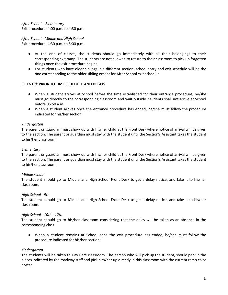*After School – Elementary* Exit procedure: 4:00 p.m. to 4:30 p.m.

*After School - Middle and High School* Exit procedure: 4:30 p.m. to 5:00 p.m.

- At the end of classes, the students should go immediately with all their belongings to their corresponding exit ramp. The students are not allowed to return to their classroom to pick up forgotten things once the exit procedure begins.
- For students who have older siblings in a different section, school entry and exit schedule will be the one corresponding to the older sibling except for After School exit schedule.

## **III. ENTRY PRIOR TO TIME SCHEDULE AND DELAYS**

- When a student arrives at School before the time established for their entrance procedure, he/she must go directly to the corresponding classroom and wait outside. Students shall not arrive at School before 06:50 a.m.
- When a student arrives once the entrance procedure has ended, he/she must follow the procedure indicated for his/her section:

## *Kindergarten*

The parent or guardian must show up with his/her child at the Front Desk where notice of arrival will be given to the section. The parent or guardian must stay with the student until the Section's Assistant takes the student to his/her classroom.

## *Elementary*

The parent or guardian must show up with his/her child at the Front Desk where notice of arrival will be given to the section. The parent or guardian must stay with the student until the Section's Assistant takes the student to his/her classroom.

## *Middle school*

The student should go to Middle and High School Front Desk to get a delay notice, and take it to his/her classroom.

## *High School - 9th*

The student should go to Middle and High School Front Desk to get a delay notice, and take it to his/her classroom.

## *High School - 10th - 12th*

The student should go to his/her classroom considering that the delay will be taken as an absence in the corresponding class.

● When a student remains at School once the exit procedure has ended, he/she must follow the procedure indicated for his/her section:

## *Kindergarten*

The students will be taken to Day Care classroom. The person who will pick up the student, should park in the places indicated by the roadway staff and pick him/her up directly in this classroom with the current ramp color poster.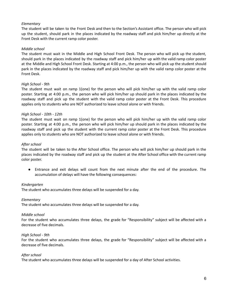# *Elementary*

The student will be taken to the Front Desk and then to the Section's Assistant office. The person who will pick up the student, should park in the places indicated by the roadway staff and pick him/her up directly at the Front Desk with the current ramp color poster.

## *Middle school*

The student must wait in the Middle and High School Front Desk. The person who will pick up the student, should park in the places indicated by the roadway staff and pick him/her up with the valid ramp color poster at the Middle and High School Front Desk. Starting at 4:00 p.m., the person who will pick up the student should park in the places indicated by the roadway staff and pick him/her up with the valid ramp color poster at the Front Desk.

## *High School - 9th*

The student must wait on ramp 1(one) for the person who will pick him/her up with the valid ramp color poster. Starting at 4:00 p.m., the person who will pick him/her up should park in the places indicated by the roadway staff and pick up the student with the valid ramp color poster at the Front Desk. This procedure applies only to students who are NOT authorized to leave school alone or with friends.

## *High School - 10th - 12th*

The student must wait on ramp 1(one) for the person who will pick him/her up with the valid ramp color poster. Starting at 4:00 p.m., the person who will pick him/her up should park in the places indicated by the roadway staff and pick up the student with the current ramp color poster at the Front Desk. This procedure applies only to students who are NOT authorized to leave school alone or with friends.

## *After school*

The student will be taken to the After School office. The person who will pick him/her up should park in the places indicated by the roadway staff and pick up the student at the After School office with the current ramp color poster.

● Entrance and exit delays will count from the next minute after the end of the procedure. The accumulation of delays will have the following consequences:

## *Kindergarten*

The student who accumulates three delays will be suspended for a day.

## *Elementary*

The student who accumulates three delays will be suspended for a day.

## *Middle school*

For the student who accumulates three delays, the grade for "Responsibility" subject will be affected with a decrease of five decimals.

## *High School - 9th*

For the student who accumulates three delays, the grade for "Responsibility" subject will be affected with a decrease of five decimals.

## *After school*

The student who accumulates three delays will be suspended for a day of After School activities.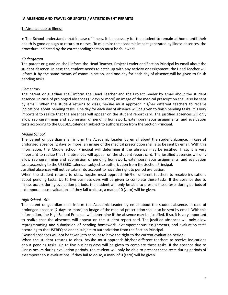#### **IV. ABSENCES AND TRAVEL OR SPORTS / ARTISTIC EVENT PERMITS**

#### 1. Absence due to Illness

● The School understands that in case of illness, it is necessary for the student to remain at home until their health is good enough to return to classes. To minimize the academic impact generated by illness absences, the procedure indicated by the corresponding section must be followed:

## *Kindergarten*

The parent or guardian shall inform the Head Teacher, Project Leader and Section Principal by email about the student absence. In case the student needs to catch up with any activity or assignment, the Head Teacher will inform it by the same means of communication, and one day for each day of absence will be given to finish pending tasks.

## *Elementary*

The parent or guardian shall inform the Head Teacher and the Project Leader by email about the student absence. In case of prolonged absences (3 days or more) an image of the medical prescription shall also be sent by email. When the student returns to class, he/she must approach his/her different teachers to receive indications about pending tasks. One day for each day of absence will be given to finish pending tasks. It is very important to realize that the absences will appear on the student report card. The justified absences will only allow reprogramming and submission of pending homework, extemporaneous assignments, and evaluation tests according to the USEBEQ calendar, subject to authorization from the Section Principal.

## *Middle School*

The parent or guardian shall inform the Academic Leader by email about the student absence. In case of prolonged absence (2 days or more) an image of the medical prescription shall also be sent by email. With this information, the Middle School Principal will determine if the absence may be justified. If so, it is very important to realize that the absences will appear on the student report card. The justified absences will only allow reprogramming and submission of pending homework, extemporaneous assignments, and evaluation tests according to the USEBEQ calendar, subject to authorization from the Section Principal.

Justified absences will not be taken into account to have the right to period evaluation.

When the student returns to class, he/she must approach his/her different teachers to receive indications about pending tasks. Up to five business days will be given to complete these tasks. If the absence due to illness occurs during evaluation periods, the student will only be able to present these tests during periods of extemporaneous evaluations. If they fail to do so, a mark of 0 (zero) will be given.

## *High School - 9th*

The parent or guardian shall inform the Academic Leader by email about the student absence. In case of prolonged absence (2 days or more) an image of the medical prescription shall also be sent by email. With this information, the High School Principal will determine if the absence may be justified. If so, it is very important to realize that the absences will appear on the student report card. The justified absences will only allow reprogramming and submission of pending homework, extemporaneous assignments, and evaluation tests according to the USEBEQ calendar, subject to authorization from the Section Principal.

Excused absences will not be taken into account to have the right to the current evaluation period.

When the student returns to class, he/she must approach his/her different teachers to receive indications about pending tasks. Up to five business days will be given to complete these tasks. If the absence due to illness occurs during evaluation periods, the student will only be able to present these tests during periods of extemporaneous evaluations. If they fail to do so, a mark of 0 (zero) will be given.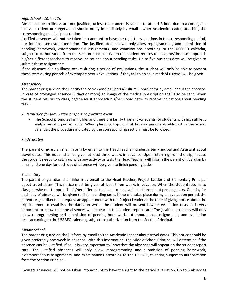## *High School - 10th - 12th*

Absences due to illness are not justified, unless the student is unable to attend School due to a contagious illness, accident or surgery, and should notify immediately by email his/her Academic Leader, attaching the corresponding medical prescription.

Justified absences will not be taken into account to have the right to evaluations in the corresponding period, nor for final semester exemption. The justified absences will only allow reprogramming and submission of pending homework, extemporaneous assignments, and examinations according to the USEBEQ calendar, subject to authorization from the Section Principal. When the student returns to class, he/she must approach his/her different teachers to receive indications about pending tasks. Up to five business days will be given to submit these assignments.

If the absence due to illness occurs during a period of evaluations, the student will only be able to present these tests during periods of extemporaneous evaluations. If they fail to do so, a mark of 0 (zero) will be given.

## *After school*

The parent or guardian shall notify the corresponding Sports/Cultural Coordinator by email about the absence. In case of prolonged absence (3 days or more) an image of the medical prescription shall also be sent. When the student returns to class, he/she must approach his/her Coordinator to receive indications about pending tasks.

## *2. Permission for family trips or sporting / artistic event*

● The School promotes family life, and therefore family trips and/or events for students with high athletic and/or artistic performance. When planning trips out of holiday periods established in the school calendar, the procedure indicated by the corresponding section must be followed:

## *Kindergarten*

The parent or guardian shall inform by email to the Head Teacher, Kindergarten Principal and Assistant about travel dates. This notice shall be given at least three weeks in advance. Upon returning from the trip, in case the student needs to catch up with any activity or task, the Head Teacher will inform the parent or guardian by email and one day for each day of absence will be given to finish pending tasks.

## *Elementary*

The parent or guardian shall inform by email to the Head Teacher, Project Leader and Elementary Principal about travel dates. This notice must be given at least three weeks in advance. When the student returns to class, he/she must approach his/her different teachers to receive indications about pending tasks. One day for each day of absence will be given to finish pending tasks. If the trip takes place during an evaluation period, the parent or guardian must request an appointment with the Project Leader at the time of giving notice about the trip in order to establish the dates on which the student will present his/her evaluation tests. It is very important to know that the absences will appear on the student report card. The justified absences will only allow reprogramming and submission of pending homework, extemporaneous assignments, and evaluation tests according to the USEBEQ calendar, subject to authorization from the Section Principal.

## *Middle School*

The parent or guardian shall inform by email to the Academic Leader about travel dates. This notice should be given preferably one week in advance. With this information, the Middle School Principal will determine if the absence can be justified. If so, it is very important to know that the absences will appear on the student report card. The justified absences will only allow reprogramming and submission of pending homework, extemporaneous assignments, and examinations according to the USEBEQ calendar, subject to authorization from the Section Principal.

Excused absences will not be taken into account to have the right to the period evaluation. Up to 5 absences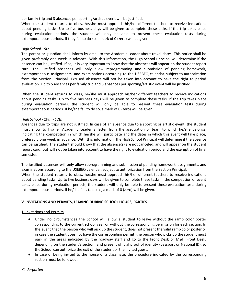per family trip and 3 absences per sporting/artistic event will be justified.

When the student returns to class, he/she must approach his/her different teachers to receive indications about pending tasks. Up to five business days will be given to complete these tasks. If the trip takes place during evaluation periods, the student will only be able to present these evaluation tests during extemporaneous periods. If they fail to do so, a mark of 0 (zero) will be given.

## *High School - 9th*

The parent or guardian shall inform by email to the Academic Leader about travel dates. This notice shall be given preferably one week in advance. With this information, the High School Principal will determine if the absence can be justified. If so, it is very important to know that the absences will appear on the student report card. The justified absences will only allow reprogramming and submission of pending homework, extemporaneous assignments, and examinations according to the USEBEQ calendar, subject to authorization from the Section Principal. Excused absences will not be taken into account to have the right to period evaluation. Up to 5 absences per family trip and 3 absences per sporting/artistic event will be justified.

When the student returns to class, he/she must approach his/her different teachers to receive indications about pending tasks. Up to five business days will be given to complete these tasks. If the trip takes place during evaluation periods, the student will only be able to present these evaluation tests during extemporaneous periods. If he/she fail to do so, a mark of 0 (zero) will be given.

## *High School - 10th - 12th*

Absences due to trips are not justified. In case of an absence due to a sporting or artistic event, the student must show to his/her Academic Leader a letter from the association or team to which he/she belongs, indicating the competition in which he/she will participate and the dates in which this event will take place, preferably one week in advance. With this information, the High School Principal will determine if the absence can be justified. The student should know that the absence(s) are not canceled, and will appear on the student report card, but will not be taken into account to have the right to evaluation period and the exemption of final semester.

The justified absences will only allow reprogramming and submission of pending homework, assignments, and examinations according to the USEBEQ calendar, subject to authorization from the Section Principal. When the student returns to class, he/she must approach his/her different teachers to receive indications about pending tasks. Up to five business days will be given to complete these tasks. If the competition or event takes place during evaluation periods, the student will only be able to present these evaluation tests during extemporaneous periods. If he/she fails to do so, a mark of 0 (zero) will be given.

## **V. INVITATIONS AND PERMITS, LEAVING DURING SCHOOL HOURS, PARTIES**

## 1. Invitations and Permits

- Under no circumstances the School will allow a student to leave without the ramp color poster corresponding to the current school year or without the corresponding permission for each section. In the event that the person who will pick up the student, does not present the valid ramp color poster or in case the student does not have the corresponding permit, the person who picks up the student must park in the areas indicated by the roadway staff and go to the Front Desk or M&H Front Desk, depending on the student's section, and present official proof of identity (passport or National ID), so the School can authorize the exit of the student or the invited guest.
- In case of being invited to the house of a classmate, the procedure indicated by the corresponding section must be followed:

## *Kindergarten*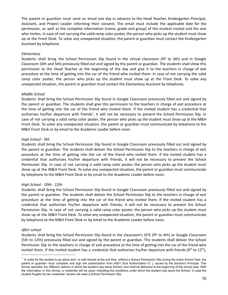The parent or guardian must send an email one day in advance to the Head Teacher, Kindergarten Principal, Assistant, and Project Leader informing their consent. The email must include the applicable date for the permission, as well as the complete information (name, grade and group) of the student invited and the one who invites. In case of not carrying the valid ramp color poster, the person who picks up the student must show up at the Front Desk. To solve any unexpected situation, the parent or guardian must contact the Kindergarten Assistant by telephone.

## *Elementary*

Students shall bring the School Permission Slip found in the virtual classroom (PF to 3th) and in Google Classroom (4th and 5th) previously filled out and signed by the parent or guardian. The students shall show this permission to the Head Teacher at the beginning of the day and give it to the teachers in charge of exit procedure at the time of getting into the car of the friend who invited them. In case of not carrying the valid ramp color poster, the person who picks up the student must show up at the Front Desk. To solve any unexpected situation, the parent or guardian must contact the Elementary Assistant by telephone.

## *Middle School*

Students shall bring the School Permission Slip found in Google Classroom previously filled out and signed by the parent or guardian. The students shall give this permission to the teachers in charge of exit procedure at the time of getting into the car of the friend who invited them. If the invited student has a credential that authorizes his/her departure with friends<sup>1</sup>, it will not be necessary to present the School Permission Slip. In case of not carrying a valid ramp color poster, the person who picks up the student must show up at the M&H Front Desk. To solve any unexpected situation, the parent or guardian must communicate by telephone to the M&H Front Desk or by email to the Academic Leader before noon.

## *High School - 9th*

Students shall bring the School Permission Slip found in Google Classroom previously filled out and signed by the parent or guardian. The students shall deliver the School Permission Slip to the teachers in charge of exit procedure at the time of getting into the car of the friend who invited them. If the invited student has a credential that authorizes his/her departure with friends, it will not be necessary to present the School Permission Slip. In case of not carrying a valid ramp color poster, the person who picks up the student must show up at the M&H Front Desk. To solve any unexpected situation, the parent or guardian must communicate by telephone to the M&H Front Desk or by email to the Academic Leader before noon.

## *High School - 10th - 12th*

Students shall bring the School Permission Slip found in Google Classroom previously filled out and signed by the parent or guardian. The students shall deliver the School Permission Slip to the teachers in charge of exit procedure at the time of getting into the car of the friend who invited them. If the invited student has a credential that authorizes his/her departure with friends, it will not be necessary to present the School Permission Slip. In case of not carrying a valid ramp color poster, the person who picks up the student must show up at the M&H Front Desk. To solve any unexpected situation, the parent or guardian must communicate by telephone to the M&H Front Desk or by email to the Academic Leader before noon.

## *After school*

Students shall bring the School Permission Slip found in the classroom's SITE (PF to 4th) or Google Classroom (5th to 12th) previously filled out and signed by the parent or guardian. The students shall deliver the School Permission Slip to the teachers in charge of exit procedure at the time of getting into the car of the friend who invited them. If the invited student has a credential that authorizes his/her departure with friends (6<sup>th</sup> to 12<sup>th</sup>),

 $1$  In order for the student to go alone and / or with friends at the exit time without a School Permission Slip during the entire School Year, the parent or guardian must complete and sign the authorization form AS01 (Exit Authorization 01 ), issued by the Section's Principal. This format specifies the different options in which the student may leave School, and shall be delivered at the beginning of the school year. With the information in this format, a credential will be given indicating the conditions under which the student may leave the School. In case the student forgets his her credential, he/she will need a School Permission Slip.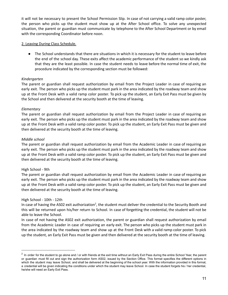it will not be necessary to present the School Permission Slip. In case of not carrying a valid ramp color poster, the person who picks up the student must show up at the After School office. To solve any unexpected situation, the parent or guardian must communicate by telephone to the After School Department or by email with the corresponding Coordinator before noon.

## 2. Leaving During Class Schedule.

● The School understands that there are situations in which it is necessary for the student to leave before the end of the school day. These exits affect the academic performance of the student so we kindly ask that they are the least possible. In case the student needs to leave before the normal time of exit, the procedure indicated by the corresponding section must be followed:

# *Kindergarten*

The parent or guardian shall request authorization by email from the Project Leader in case of requiring an early exit. The person who picks up the student must park in the area indicated by the roadway team and show up at the Front Desk with a valid ramp color poster. To pick up the student, an Early Exit Pass must be given by the School and then delivered at the security booth at the time of leaving.

# *Elementary*

The parent or guardian shall request authorization by email from the Project Leader in case of requiring an early exit. The person who picks up the student must park in the area indicated by the roadway team and show up at the Front Desk with a valid ramp color poster. To pick up the student, an Early Exit Pass must be given and then delivered at the security booth at the time of leaving.

# *Middle school*

The parent or guardian shall request authorization by email from the Academic Leader in case of requiring an early exit. The person who picks up the student must park in the area indicated by the roadway team and show up at the Front Desk with a valid ramp color poster. To pick up the student, an Early Exit Pass must be given and then delivered at the security booth at the time of leaving.

# High School - 9th

The parent or guardian shall request authorization by email from the Academic Leader in case of requiring an early exit. The person who picks up the student must park in the area indicated by the roadway team and show up at the Front Desk with a valid ramp color poster. To pick up the student, an Early Exit Pass must be given and then delivered at the security booth at the time of leaving.

# High School - 10th - 12th

In case of having the AS02 exit authorization<sup>2</sup>, the student must deliver the credential to the Security Booth and this will be returned upon his/her return to School. In case of forgetting the credential, the student will not be able to leave the School.

In case of not having the AS02 exit authorization, the parent or guardian shall request authorization by email from the Academic Leader in case of requiring an early exit. The person who picks up the student must park in the area indicated by the roadway team and show up at the Front Desk with a valid ramp color poster. To pick up the student, an Early Exit Pass must be given and then delivered at the security booth at the time of leaving.

 $^2$  In order for the student to go alone and / or with friends at the exit time without an Early Exit Pass during the entire School Year, the parent or guardian must fill out and sign the authorization form AS02, issued by the Section Office. This format specifies the different options in which the student may leave School, and shall be delivered at the beginning of the school year. With the information provided in this format, a credential will be given indicating the conditions under which the student may leave School. In case the student forgets his / her credential, he/she will need an Early Exit Pass.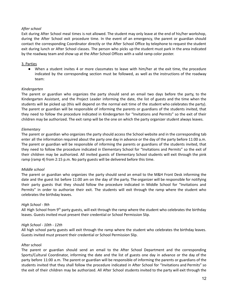## *After school*

Exit during After School meal times is not allowed. The student may only leave at the end of his/her workshop, during the After School exit procedure time. In the event of an emergency, the parent or guardian should contact the corresponding Coordinator directly or the After School Office by telephone to request the student exit during lunch or After School classes. The person who picks up the student must park in the area indicated by the roadway team and show up at the After School Offices with a valid ramp color poster.

## 3. Parties

● When a student invites 4 or more classmates to leave with him/her at the exit time, the procedure indicated by the corresponding section must be followed, as well as the instructions of the roadway team:

## *Kindergarten*

The parent or guardian who organizes the party should send an email two days before the party, to the Kindergarten Assistant, and the Project Leader informing the date, the list of guests and the time when the students will be picked up (this will depend on the normal exit time of the student who celebrates the party). The parent or guardian will be responsible of informing the parents or guardians of the students invited, that they need to follow the procedure indicated in Kindergarten for "Invitations and Permits" so the exit of their children may be authorized. The exit ramp will be the one on which the party organizer student always leaves.

## *Elementary*

The parent or guardian who organizes the party should access the School website and in the corresponding tab enter all the information required about the party one day in advance or the day of the party before 11:00 a.m. The parent or guardian will be responsible of informing the parents or guardians of the students invited, that they need to follow the procedure indicated in Elementary School for "Invitations and Permits" so the exit of their children may be authorized. All invited guests of Elementary School students will exit through the pink ramp (ramp 4) from 2:15 p.m. No party guests will be delivered before this time.

# *Middle school*

The parent or guardian who organizes the party should send an email to the M&H Front Desk informing the date and the guest list before 11:00 am on the day of the party. The organizer will be responsible for notifying their party guests that they should follow the procedure indicated in Middle School for "Invitations and Permits" in order to authorize their exit. The students will exit through the ramp where the student who celebrates the birthday leaves.

# *High School - 9th*

All High School from 9<sup>th</sup> party guests, will exit through the ramp where the student who celebrates the birthday leaves. Guests invited must present their credential or School Permission Slip.

## *High School - 10th - 12th*

All high school party guests will exit through the ramp where the student who celebrates the birthday leaves. Guests invited must present their credential or School Permission Slip.

## After school

The parent or guardian should send an email to the After School Department and the corresponding Sports/Cultural Coordinator, informing the date and the list of guests one day in advance or the day of the party before 11:00 a.m. The parent or guardian will be responsible of informing the parents or guardians of the students invited that they shall follow the procedure indicated in After School for "Invitations and Permits" so the exit of their children may be authorized. All After School students invited to the party will exit through the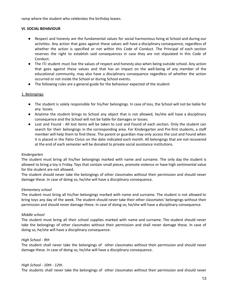ramp where the student who celebrates the birthday leaves.

## **VI. SOCIAL BEHAVIOUR**

- Respect and honesty are the fundamental values for social harmonious living at School and during our activities. Any action that goes against these values will have a disciplinary consequence, regardless of whether the action is specified or not within this Code of Conduct. The Principal of each section reserves the right to establish said consequences in case they are not stipulated in this Code of Conduct.
- The ITJ student must live the values of respect and honesty also when being outside school. Any action that goes against these values and that has an impact on the well-being of any member of the educational community, may also have a disciplinary consequence regardless of whether the action occurred or not inside the School or during School events.
- The following rules are a general guide for the behaviour expected of the student:

## 1. Belongings

- The student is solely responsible for his/her belongings. In case of loss, the School will not be liable for any losses.
- Anytime the student brings to School any object that is not allowed, he/she will have a disciplinary consequence and the School will not be liable for damages or losses.
- Lost and Found All lost items will be taken to Lost and Found of each section. Only the student can search for their belongings in the corresponding area. For Kindergarten and Pre-first students, a staff member will help them to find these. The parent or guardian may only access the Lost and Found when it is placed in the Patio Cívico on the date indicated each month. All belongings that are not recovered at the end of each semester will be donated to private social assistance institutions.

#### *Kindergarten*

The student must bring all his/her belongings marked with name and surname. The only day the student is allowed to bring a toy is Friday. Toys that contain small pieces, promote violence or have high sentimental value for the student are not allowed.

The student should never take the belongings of other classmates without their permission and should never damage these. In case of doing so, he/she will have a disciplinary consequence.

## *Elementary school*

The student must bring all his/her belongings marked with name and surname. The student is not allowed to bring toys any day of the week. The student should never take their other classmates' belongings without their permission and should never damage these. In case of doing so, he/she will have a disciplinary consequence.

## *Middle school*

The student must bring all their school supplies marked with name and surname. The student should never take the belongings of other classmates without their permission and shall never damage these. In case of doing so, he/she will have a disciplinary consequence.

#### *High School - 9th*

The student shall never take the belongings of other classmates without their permission and should never damage these. In case of doing so, he/she will have a disciplinary consequence.

#### *High School - 10th - 12th*

The students shall never take the belongings of other classmates without their permission and should never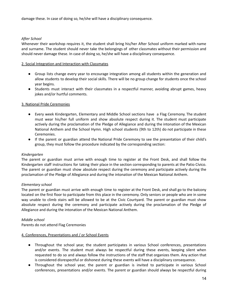## *After School*

Whenever their workshop requires it, the student shall bring his/her After School uniform marked with name and surname. The student should never take the belongings of other classmates without their permission and should never damage these. In case of doing so, he/she will have a disciplinary consequence.

## 2. Social Integration and Interaction with Classmates

- Group lists change every year to encourage integration among all students within the generation and allow students to develop their social skills. There will be no group change for students once the school year begins.
- Students must interact with their classmates in a respectful manner, avoiding abrupt games, heavy jokes and/or hurtful comments.

## 3. National Pride Ceremonies

- Every week Kindergarten, Elementary and Middle School sections have a Flag Ceremony. The student must wear his/her full uniform and show absolute respect during it. The student must participate actively during the proclamation of the Pledge of Allegiance and during the intonation of the Mexican National Anthem and the School Hymn. High school students (9th to 12th) do not participate in these Ceremonies.
- If the parent or guardian attend the National Pride Ceremony to see the presentation of their child's group, they must follow the procedure indicated by the corresponding section:

## *Kindergarten*

The parent or guardian must arrive with enough time to register at the Front Desk, and shall follow the Kindergarten staff instructions for taking their place in the section corresponding to parents at the Patio Cívico. The parent or guardian must show absolute respect during the ceremony and participate actively during the proclamation of the Pledge of Allegiance and during the intonation of the Mexican National Anthem.

## *Elementary school*

The parent or guardian must arrive with enough time to register at the Front Desk, and shall go to the balcony located on the first floor to participate from this place in the ceremony. Only seniors or people who are in some way unable to climb stairs will be allowed to be at the Civic Courtyard. The parent or guardian must show absolute respect during the ceremony and participate actively during the proclamation of the Pledge of Allegiance and during the intonation of the Mexican National Anthem.

## *Middle school*

Parents do not attend Flag Ceremonies

## 4. Conferences, Presentations and / or School Events

- Throughout the school year, the student participates in various School conferences, presentations and/or events. The student must always be respectful during these events, keeping silent when requested to do so and always follow the instructions of the staff that organizes them. Any action that is considered disrespectful or dishonest during these events will have a disciplinary consequence.
- Throughout the school year, the parent or guardian is invited to participate in various School conferences, presentations and/or events. The parent or guardian should always be respectful during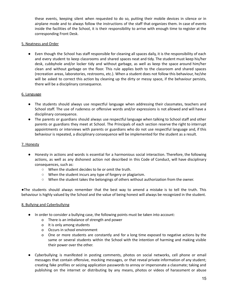these events, keeping silent when requested to do so, putting their mobile devices in silence or in airplane mode and to always follow the instructions of the staff that organizes them. In case of events inside the facilities of the School, it is their responsibility to arrive with enough time to register at the corresponding Front Desk.

## 5. Neatness and Order

● Even though the School has staff responsible for cleaning all spaces daily, it is the responsibility of each and every student to keep classrooms and shared spaces neat and tidy. The student must keep his/her desk, cubbyhole and/or locker tidy and without garbage, as well as keep the space around him/her clean and without garbage on the floor. This rule applies both to the classroom and shared spaces (recreation areas, laboratories, restrooms, etc.). When a student does not follow this behaviour, he/she will be asked to correct this action by cleaning up the dirty or messy space, if the behaviour persists, there will be a disciplinary consequence.

## 6. Language

- The students should always use respectful language when addressing their classmates, teachers and School staff. The use of rudeness or offensive words and/or expressions is not allowed and will have a disciplinary consequence.
- The parents or guardians should always use respectful language when talking to School staff and other parents or guardians they meet at School. The Principals of each section reserve the right to interrupt appointments or interviews with parents or guardians who do not use respectful language and, if this behaviour is repeated, a disciplinary consequence will be implemented for the student as a result.

## 7. Honesty

- Honesty in actions and words is essential for a harmonious social interaction. Therefore, the following actions, as well as any dishonest action not described in this Code of Conduct, will have disciplinary consequences, such as:
	- When the student decides to lie or omit the truth.
	- When the student incurs any type of forgery or plagiarism.
	- When the student takes the belongings of others without authorization from the owner.

●The students should always remember that the best way to amend a mistake is to tell the truth. This behaviour is highly valued by the School and the value of being honest will always be recognized in the student.

## 8. Bullying and Cyberbullying

- In order to consider a bullying case, the following points must be taken into account:
	- o There is an imbalance of strength and power
	- o It is only among students
	- o Occurs in school environment
	- o One or more students are constantly and for a long time exposed to negative actions by the same or several students within the School with the intention of harming and making visible their power over the other.
- Cyberbullying is manifested in posting comments, photos on social networks, cell phone or email messages that contain offensive, mocking messages, or that reveal private information of any student; creating fake profiles or seizing application passwords to annoy or impersonate a classmate; taking and publishing on the internet or distributing by any means, photos or videos of harassment or abuse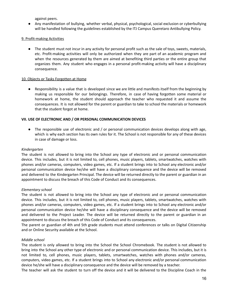against peers.

● Any manifestation of bullying, whether verbal, physical, psychological, social exclusion or cyberbullying will be handled following the guidelines established by the ITJ Campus Queretaro Antibullying Policy.

## 9. Profit-making Activities

● The student must not incur in any activity for personal profit such as the sale of toys, sweets, materials, etc. Profit-making activities will only be authorized when they are part of an academic program and when the resources generated by them are aimed at benefiting third parties or the entire group that organizes them. Any student who engages in a personal profit-making activity will have a disciplinary consequence.

## 10. Objects or Tasks Forgotten at Home

● Responsibility is a value that is developed since we are little and manifests itself from the beginning by making us responsible for our belongings. Therefore, in case of having forgotten some material or homework at home, the student should approach the teacher who requested it and assume the consequences. It is not allowed for the parent or guardian to take to school the materials or homework that the student forgot at home.

# **VII. USE OF ELECTRONIC AND / OR PERSONAL COMMUNICATION DEVICES**

• The responsible use of electronic and / or personal communication devices develops along with age, which is why each section has its own rules for it. The School is not responsible for any of these devices in case of damage or loss.

## *Kindergarten*

The student is not allowed to bring into the School any type of electronic and or personal communication device. This includes, but it is not limited to, cell phones, music players, tablets, smartwatches, watches with phones and/or cameras, computers, video games, etc. If a student brings into to School any electronic and/or personal communication device he/she will have a disciplinary consequence and the device will be removed and delivered to the Kindergarten Principal. The device will be returned directly to the parent or guardian in an appointment to discuss the breach of this Code of Conduct and its consequences.

## *Elementary school*

The student is not allowed to bring into the School any type of electronic and or personal communication device. This includes, but it is not limited to, cell phones, music players, tablets, smartwatches, watches with phones and/or cameras, computers, video games, etc. If a student brings into to School any electronic and/or personal communication device he/she will have a disciplinary consequence and the device will be removed and delivered to the Project Leader. The device will be returned directly to the parent or guardian in an appointment to discuss the breach of this Code of Conduct and its consequences.

The parent or guardian of 4th and 5th grade students must attend conferences or talks on Digital Citizenship and or Online Security available at the School.

## *Middle school*

The student is only allowed to bring into the School the School Chromebook. The student is not allowed to bring into the School any other type of electronic and or personal communication device. This includes, but it is not limited to, cell phones, music players, tablets, smartwatches, watches with phones and/or cameras, computers, video games, etc. If a student brings into to School any electronic and/or personal communication device he/she will have a disciplinary consequence and the device will be removed by a teacher.

The teacher will ask the student to turn off the device and it will be delivered to the Discipline Coach in the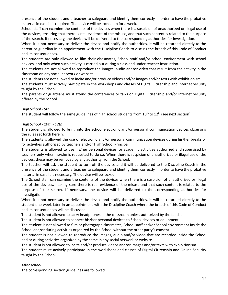presence of the student and a teacher to safeguard and identify them correctly, in order to have the probative material in case it is required. The device will be locked up for a week.

School staff can examine the contents of the devices when there is a suspicion of unauthorized or illegal use of the devices, ensuring that there is real evidence of the misuse, and that such content is related to the purpose of the search. If necessary, the device will be delivered to the corresponding authorities for investigation.

When it is not necessary to deliver the device and notify the authorities, it will be returned directly to the parent or guardian in an appointment with the Discipline Coach to discuss the breach of this Code of Conduct and its consequences.

The students are only allowed to film their classmates, School staff and/or school environment with school devices, and only when such activity is carried out during a class and under teacher instruction.

The students are not allowed to reproduce the images, audio and/or video that result from the activity in the classroom on any social network or website.

The students are not allowed to incite and/or produce videos and/or images and/or texts with exhibitionism. The students must actively participate in the workshops and classes of Digital Citizenship and Internet Security taught by the School.

The parents or guardians must attend the conferences or talks on Digital Citizenship and/or Internet Security offered by the School.

# *High School - 9th*

The student will follow the same guidelines of high school students from  $10^{\text{th}}$  to  $12^{\text{th}}$  (see next section).

# *High School - 10th - 12th*

The student is allowed to bring into the School electronic and/or personal communication devices observing the rules set forth herein.

The students is allowed the use of electronic and/or personal communication devices during his/her breaks or for activities authorized by teachers and/or High School Principal.

The students is allowed to use his/her personal devices for academic activities authorized and supervised by teachers only when he/she is requested to do so. When there is suspicion of unauthorized or illegal use of the devices, these may be removed by any authority from the School.

The teacher will ask the student to turn off the device and it will be delivered to the Discipline Coach in the presence of the student and a teacher to safeguard and identify them correctly, in order to have the probative material in case it is necessary. The device will be locked.

The School staff can examine the contents of the devices when there is a suspicion of unauthorized or illegal use of the devices, making sure there is real evidence of the misuse and that such content is related to the purpose of the search. If necessary, the device will be delivered to the corresponding authorities for investigation.

When it is not necessary to deliver the device and notify the authorities, it will be returned directly to the student one week later in an appointment with the Discipline Coach where the breach of this Code of Conduct and its consequences will be discussed.

The student is not allowed to carry headphones in the classroom unless authorized by the teacher.

The student is not allowed to connect his/her personal devices to School devices or equipment.

The student is not allowed to film or photograph classmates, School staff and/or School environment inside the School and/or during activities organized by the School without the other party's consent.

The student is not allowed to reproduce the images, audio and/or video that are recorded inside the School and or during activities organized by the same in any social network or website.

The student is not allowed to incite and/or produce videos and/or images and/or texts with exhibitionism.

The student must actively participate in the workshops and classes of Digital Citizenship and Online Security taught by the School.

# *After school*

The corresponding section guidelines are followed.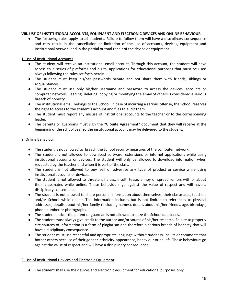## **VIII. USE OF INSTITUTIONAL ACCOUNTS, EQUIPMENT AND ELECTRONIC DEVICES AND ONLINE BEHAVIOUR**

● The following rules apply to all students. Failure to follow them will have a disciplinary consequence and may result in the cancellation or limitation of the use of accounts, devices, equipment and institutional network and in the partial or total repair of the device or equipment.

## 1. Use of Institutional Accounts

- The student will receive an institutional email account. Through this account, the student will have access to a series of platforms and digital applications for educational purposes that must be used always following the rules set forth herein.
- The student must keep his/her passwords private and not share them with friends, siblings or acquaintances.
- The student must use only his/her username and password to access the devices, accounts or computer network. Reading, deleting, copying or modifying the email of others is considered a serious breach of honesty.
- The institutional email belongs to the School. In case of incurring a serious offense, the School reserves the right to access to the student's account and files to audit them.
- The student must report any misuse of institutional accounts to the teacher or to the corresponding leader.
- The parents or guardians must sign the "G Suite Agreement" document that they will receive at the beginning of the school year so the institutional account may be delivered to the student.

## 2. Online Behaviour

- The student is not allowed to breach the School security measures of the computer network.
- The student is not allowed to download software, extensions or internet applications while using institutional accounts or devices. The student will only be allowed to download information when requested by the teacher and when it is part of the class.
- The student is not allowed to buy, sell or advertise any type of product or service while using institutional accounts or devices.
- The student is not allowed to threaten, harass, insult, tease, annoy or spread rumors with or about their classmates while online. These behaviours go against the value of respect and will have a disciplinary consequence.
- The student is not allowed to share personal information about themselves, their classmates, teachers and/or School while online. This information includes but is not limited to references to physical addresses, details about his/her family (including names), details about his/her friends, age, birthdays, phone number or photographs.
- The student and/or the parent or guardian is not allowed to seize the School databases.
- The student must always give credit to the author and/or source of his/her research. Failure to properly cite sources of information is a form of plagiarism and therefore a serious breach of honesty that will have a disciplinary consequence.
- The student must use respectful and appropriate language without rudeness, insults or comments that bother others because of their gender, ethnicity, appearance, behaviour or beliefs. These behaviours go against the value of respect and will have a disciplinary consequence.

# 3. Use of Institutional Devices and Electronic Equipment

● The student shall use the devices and electronic equipment for educational purposes only.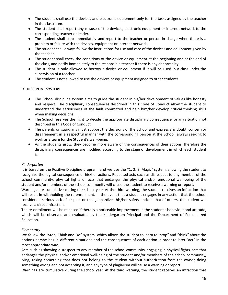- The student shall use the devices and electronic equipment only for the tasks assigned by the teacher in the classroom.
- The student shall report any misuse of the devices, electronic equipment or internet network to the corresponding teacher or leader.
- The student shall stop immediately and report to the teacher or person in charge when there is a problem or failure with the devices, equipment or internet network.
- The student shall always follow the instructions for use and care of the devices and equipment given by the teacher.
- The student shall check the conditions of the device or equipment at the beginning and at the end of the class, and notify immediately to the responsible teacher if there is any abnormality.
- The student is only allowed to borrow a device or equipment if it will be used in a class under the supervision of a teacher.
- The student is not allowed to use the devices or equipment assigned to other students.

# **IX. DISCIPLINE SYSTEM**

- The School discipline system aims to guide the student in his/her development of values like honesty and respect. The disciplinary consequences described in this Code of Conduct allow the student to understand the seriousness of the fault committed and help him/her develop critical thinking skills when making decisions.
- The School reserves the right to decide the appropriate disciplinary consequence for any situation not described in this Code of Conduct.
- The parents or guardians must support the decisions of the School and express any doubt, concern or disagreement in a respectful manner with the corresponding person at the School, always seeking to work as a team for the Student's well-being.
- As the students grow, they become more aware of the consequences of their actions, therefore the disciplinary consequences are modified according to the stage of development in which each student is.

# *Kindergarten*

It is based on the Positive Discipline program, and we use the "1, 2, 3, Magic" system, allowing the student to recognize the logical consequence of his/her actions. Repeated acts such as disrespect to any member of the school community, physical fights or acts that endanger the physical and/or emotional well-being of the student and/or members of the school community will cause the student to receive a warning or report.

Warnings are cumulative during the school year. At the third warning, the student receives an infraction that will result in withholding the re-enrollment. In the event that a student engages in any action that the school considers a serious lack of respect or that jeopardizes his/her safety and/or that of others, the student will receive a direct infraction.

The re-enrollment will be released if there is a noticeable improvement in the student's behaviour and attitude, which will be observed and evaluated by the Kindergarten Principal and the Department of Personalized Education.

# *Elementary*

We follow the "Stop, Think and Do" system, which allows the student to learn to "stop" and "think" about the options he/she has in different situations and the consequences of each option in order to later "act" in the most appropriate way.

Acts such as showing disrespect to any member of the school community, engaging in physical fights, acts that endanger the physical and/or emotional well-being of the student and/or members of the school community, lying, taking something that does not belong to the student without authorization from the owner, doing something wrong and not accepting it, and any type of plagiarism will cause a warning or report.

Warnings are cumulative during the school year. At the third warning, the student receives an infraction that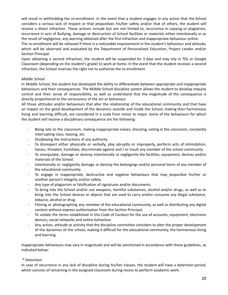will result in withholding the re-enrollment. In the event that a student engages in any action that the School considers a serious lack of respect or that jeopardizes his/her safety and/or that of others, the student will receive a direct infraction. These actions include but are not limited to, recurrence in copying or plagiarism, recurrence in acts of Bullying, damage or destruction of School facilities or materials either intentionally or as the result of negligence, any warning obtained after the first infraction and inappropriate behaviour online.

The re-enrollment will be released if there is a noticeable improvement in the student's behaviour and attitude, which will be observed and evaluated by the Department of Personalized Education, Project Leader and/or Section Principal.

Upon obtaining a second infraction, the student will be suspended for 3 days and may rely in TOL or Google Classroom (depending on the student's grade) to work at home. In the event that the student receives a second infraction, the School reserves the right not to authorize the re-enrollment.

# *Middle School*

In Middle School, the student has developed the ability to differentiate between appropriate and inappropriate behaviours and their consequences. The Middle School discipline system allows the student to develop impulse control and their sense of responsibility, as well as understand that the magnitude of the consequence is directly proportional to the seriousness of the act or behaviour.

All those attitudes and/or behaviours that alter the relationship of the educational community and that have an impact on the good development of the dynamics outside and inside the School, making their harmonious living and learning difficult, are considered in a scale from minor to major. Some of the behaviours for which the student will receive a disciplinary consequence are the following:

- Being late to the classroom, making inappropriate noises, shouting, eating in the classroom, constantly interrupting class, teasing, etc.
- Disobeying the instructions of any authority.
- To disrespect either physically or verbally, play abruptly or improperly, perform acts of intimidation, harass, threaten, humiliate, discriminate against and / or insult any member of the school community.
- To manipulate, damage or destroy intentionally or negligently the facilities, equipment, devices and/or materials of the School.
- Intentionally or negligently damage or destroy the belongings and/or personal items of any member of the educational community.
- To engage in inappropriate, destructive and negative behaviours that may jeopardize his/her or another person's integrity and/or safety.
- Any type of plagiarism or falsification of signatures and/or documents.
- To bring into the School and/or use weapons, harmful substances, alcohol and/or drugs, as well as to bring into the School devices or objects that are used to carry and/or consume any illegal substance, tobacco, alcohol or drug.
- Filming or photographing any member of the educational community, as well as distributing any digital content without express authorization from the Section Principal.
- To violate the terms established in this Code of Conduct for the use of accounts, equipment, electronic devices, social networks and online behaviour.
- Any action, attitude or activity that the discipline committee considers to alter the proper development of the dynamics of the school, making it difficult for the educational community, the harmonious living and learning.

Inappropriate behaviours may vary in magnitude and will be sanctioned in accordance with these guidelines, as indicated below:

# \* Detention

In case of recurrence in any lack of discipline during his/her classes, the student will have a detention period, which consists of remaining in the assigned classroom during recess to perform academic work.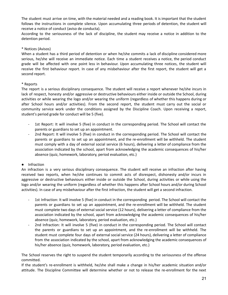The student must arrive on time, with the material needed and a reading book. It is important that the student follows the instructions in complete silence. Upon accumulating three periods of detention, the student will receive a notice of conduct (aviso de conducta).

According to the seriousness of the lack of discipline, the student may receive a notice in addition to the detention period.

# \* Notices (Avisos)

When a student has a third period of detention or when he/she commits a lack of discipline considered more serious, he/she will receive an immediate notice. Each time a student receives a notice, the period conduct grade will be affected with one point less in behaviour. Upon accumulating three notices, the student will receive the first behaviour report. In case of any misbehaviour after the first report, the student will get a second report.

# \* Reports

The report is a serious disciplinary consequence. The student will receive a report whenever he/she incurs in lack of respect, honesty and/or aggressive or destructive behaviours either inside or outside the School, during activities or while wearing the logo and/or wearing the uniform (regardless of whether this happens during or after School hours and/or activities). From the second report, the student must carry out the social or community service work under the conditions assigned by the Discipline Coach. Upon receiving a report, student's period grade for conduct will be 5 (five).

- 1st Report: It will involve 5 (five) in conduct in the corresponding period. The School will contact the parents or guardians to set up an appointment.
- 2nd Report: It will involve 5 (five) in conduct in the corresponding period. The School will contact the parents or guardians to set up an appointment, and the re-enrollment will be withheld. The student must comply with a day of external social service (6 hours), delivering a letter of compliance from the association indicated by the school, apart from acknowledging the academic consequences of his/her absence (quiz, homework, laboratory, period evaluation, etc.)

# ● Infraction

An infraction is a very serious disciplinary consequence. The student will receive an infraction after having received two reports, when he/she continues to commit acts of disrespect, dishonesty and/or incurs in aggressive or destructive behaviours either inside or outside the School, during activities or while using the logo and/or wearing the uniform (regardless of whether this happens after School hours and/or during School activities). In case of any misbehaviour after the first infraction, the student will get a second infraction.

- 1st Infraction: It will involve 5 (five) in conduct in the corresponding period. The School will contact the parents or guardians to set up an appointment, and the re-enrollment will be withheld. The student must complete two days of external social service (12 hours), delivering a letter of compliance from the association indicated by the school, apart from acknowledging the academic consequences of his/her absence (quiz, homework, laboratory, period evaluation, etc.)
- 2nd Infraction: It will involve 5 (five) in conduct in the corresponding period. The School will contact the parents or guardians to set up an appointment, and the re-enrollment will be withheld. The student must complete four days of external social service (24 hours), delivering a letter of compliance from the association indicated by the school, apart from acknowledging the academic consequences of his/her absence (quiz, homework, laboratory, period evaluation, etc.)

The School reserves the right to suspend the student temporarily according to the seriousness of the offense committed.

If the student's re-enrollment is withheld, he/she shall make a change in his/her academic situation and/or attitude. The Discipline Committee will determine whether or not to release the re-enrollment for the next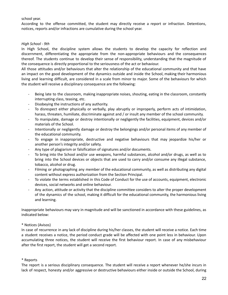# school year.

According to the offense committed, the student may directly receive a report or infraction. Detentions, notices, reports and/or infractions are cumulative during the school year.

## *High School - 9th*

In High School, the discipline system allows the students to develop the capacity for reflection and discernment, differentiating the appropriate from the non-appropriate behaviours and the consequences thereof. The students continue to develop their sense of responsibility, understanding that the magnitude of the consequence is directly proportional to the seriousness of the act or behaviour.

All those attitudes and/or behaviours that alter the relationship of the educational community and that have an impact on the good development of the dynamics outside and inside the School, making their harmonious living and learning difficult, are considered in a scale from minor to major. Some of the behaviours for which the student will receive a disciplinary consequence are the following:

- Being late to the classroom, making inappropriate noises, shouting, eating in the classroom, constantly interrupting class, teasing, etc.
- Disobeying the instructions of any authority.
- To disrespect either physically or verbally, play abruptly or improperly, perform acts of intimidation, harass, threaten, humiliate, discriminate against and / or insult any member of the school community.
- To manipulate, damage or destroy intentionally or negligently the facilities, equipment, devices and/or materials of the School.
- Intentionally or negligently damage or destroy the belongings and/or personal items of any member of the educational community.
- To engage in inappropriate, destructive and negative behaviours that may jeopardize his/her or another person's integrity and/or safety.
- Any type of plagiarism or falsification of signatures and/or documents.
- To bring into the School and/or use weapons, harmful substances, alcohol and/or drugs, as well as to bring into the School devices or objects that are used to carry and/or consume any illegal substance, tobacco, alcohol or drug.
- Filming or photographing any member of the educational community, as well as distributing any digital content without express authorization from the Section Principal.
- To violate the terms established in this Code of Conduct for the use of accounts, equipment, electronic devices, social networks and online behaviour.
- Any action, attitude or activity that the discipline committee considers to alter the proper development of the dynamics of the school, making it difficult for the educational community, the harmonious living and learning.

Inappropriate behaviours may vary in magnitude and will be sanctioned in accordance with these guidelines, as indicated below:

# \* Notices (Avisos)

In case of recurrence in any lack of discipline during his/her classes, the student will receive a notice. Each time a student receives a notice, the period conduct grade will be affected with one point less in behaviour. Upon accumulating three notices, the student will receive the first behaviour report. In case of any misbehaviour after the first report, the student will get a second report.

# \* Reports

The report is a serious disciplinary consequence. The student will receive a report whenever he/she incurs in lack of respect, honesty and/or aggressive or destructive behaviours either inside or outside the School, during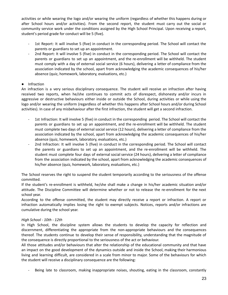activities or while wearing the logo and/or wearing the uniform (regardless of whether this happens during or after School hours and/or activities). From the second report, the student must carry out the social or community service work under the conditions assigned by the High School Principal. Upon receiving a report, student's period grade for conduct will be 5 (five).

- 1st Report: It will involve 5 (five) in conduct in the corresponding period. The School will contact the parents or guardians to set up an appointment.
- 2nd Report: It will involve 5 (five) in conduct in the corresponding period. The School will contact the parents or guardians to set up an appointment, and the re-enrollment will be withheld. The student must comply with a day of external social service (6 hours), delivering a letter of compliance from the association indicated by the school, apart from acknowledging the academic consequences of his/her absence (quiz, homework, laboratory, evaluations, etc.)

# ● Infraction

An infraction is a very serious disciplinary consequence. The student will receive an infraction after having received two reports, when he/she continues to commit acts of disrespect, dishonesty and/or incurs in aggressive or destructive behaviours either inside or outside the School, during activities or while using the logo and/or wearing the uniform (regardless of whether this happens after School hours and/or during School activities). In case of any misbehaviour after the first infraction, the student will get a second infraction.

- 1st Infraction: It will involve 5 (five) in conduct in the corresponding period. The School will contact the parents or guardians to set up an appointment, and the re-enrollment will be withheld. The student must complete two days of external social service (12 hours), delivering a letter of compliance from the association indicated by the school, apart from acknowledging the academic consequences of his/her absence (quiz, homework, laboratory, evaluations, etc.)
- 2nd Infraction: It will involve 5 (five) in conduct in the corresponding period. The School will contact the parents or guardians to set up an appointment, and the re-enrollment will be withheld. The student must complete four days of external social service (24 hours), delivering a letter of compliance from the association indicated by the school, apart from acknowledging the academic consequences of his/her absence (quiz, homework, laboratory, evaluations, etc.)

The School reserves the right to suspend the student temporarily according to the seriousness of the offense committed.

If the student's re-enrollment is withheld, he/she shall make a change in his/her academic situation and/or attitude. The Discipline Committee will determine whether or not to release the re-enrollment for the next school year.

According to the offense committed, the student may directly receive a report or infraction. A report or infraction automatically implies losing the right to exempt subjects. Notices, reports and/or infractions are cumulative during the school year.

## *High School - 10th - 12th*

In High School, the discipline system allows the students to develop the capacity for reflection and discernment, differentiating the appropriate from the non-appropriate behaviours and the consequences thereof. The students continue to develop their sense of responsibility, understanding that the magnitude of the consequence is directly proportional to the seriousness of the act or behaviour.

All those attitudes and/or behaviours that alter the relationship of the educational community and that have an impact on the good development of the dynamics outside and inside the School, making their harmonious living and learning difficult, are considered in a scale from minor to major. Some of the behaviours for which the student will receive a disciplinary consequence are the following:

Being late to classroom, making inappropriate noises, shouting, eating in the classroom, constantly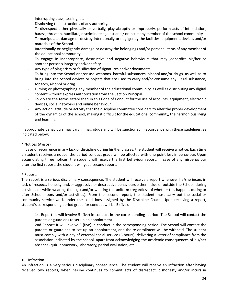interrupting class, teasing, etc.

- Disobeying the instructions of any authority.
- To disrespect either physically or verbally, play abruptly or improperly, perform acts of intimidation, harass, threaten, humiliate, discriminate against and / or insult any member of the school community.
- To manipulate, damage or destroy intentionally or negligently the facilities, equipment, devices and/or materials of the School.
- Intentionally or negligently damage or destroy the belongings and/or personal items of any member of the educational community.
- To engage in inappropriate, destructive and negative behaviours that may jeopardize his/her or another person's integrity and/or safety.
- Any type of plagiarism or falsification of signatures and/or documents.
- To bring into the School and/or use weapons, harmful substances, alcohol and/or drugs, as well as to bring into the School devices or objects that are used to carry and/or consume any illegal substance, tobacco, alcohol or drug.
- Filming or photographing any member of the educational community, as well as distributing any digital content without express authorization from the Section Principal.
- To violate the terms established in this Code of Conduct for the use of accounts, equipment, electronic devices, social networks and online behaviour.
- Any action, attitude or activity that the discipline committee considers to alter the proper development of the dynamics of the school, making it difficult for the educational community, the harmonious living and learning.

Inappropriate behaviours may vary in magnitude and will be sanctioned in accordance with these guidelines, as indicated below:

# \* Notices (Avisos)

In case of recurrence in any lack of discipline during his/her classes, the student will receive a notice. Each time a student receives a notice, the period conduct grade will be affected with one point less in behaviour. Upon accumulating three notices, the student will receive the first behaviour report. In case of any misbehaviour after the first report, the student will get a second report.

# \* Reports

The report is a serious disciplinary consequence. The student will receive a report whenever he/she incurs in lack of respect, honesty and/or aggressive or destructive behaviours either inside or outside the School, during activities or while wearing the logo and/or wearing the uniform (regardless of whether this happens during or after School hours and/or activities). From the second report, the student must carry out the social or community service work under the conditions assigned by the Discipline Coach. Upon receiving a report, student's corresponding period grade for conduct will be 5 (five).

- 1st Report: It will involve 5 (five) in conduct in the corresponding period. The School will contact the parents or guardians to set up an appointment.
- 2nd Report: It will involve 5 (five) in conduct in the corresponding period. The School will contact the parents or guardians to set up an appointment, and the re-enrollment will be withheld. The student must comply with a day of external social service (6 hours), delivering a letter of compliance from the association indicated by the school, apart from acknowledging the academic consequences of his/her absence (quiz, homework, laboratory, period evaluation, etc.)

# ● Infraction

An infraction is a very serious disciplinary consequence. The student will receive an infraction after having received two reports, when he/she continues to commit acts of disrespect, dishonesty and/or incurs in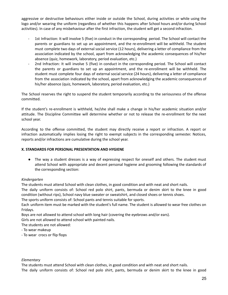aggressive or destructive behaviours either inside or outside the School, during activities or while using the logo and/or wearing the uniform (regardless of whether this happens after School hours and/or during School activities). In case of any misbehaviour after the first infraction, the student will get a second infraction.

- 1st Infraction: It will involve 5 (five) in conduct in the corresponding period. The School will contact the parents or guardians to set up an appointment, and the re-enrollment will be withheld. The student must complete two days of external social service (12 hours), delivering a letter of compliance from the association indicated by the school, apart from acknowledging the academic consequences of his/her absence (quiz, homework, laboratory, period evaluation, etc.)
- 2nd Infraction: It will involve 5 (five) in conduct in the corresponding period. The School will contact the parents or guardians to set up an appointment, and the re-enrollment will be withheld. The student must complete four days of external social service (24 hours), delivering a letter of compliance from the association indicated by the school, apart from acknowledging the academic consequences of his/her absence (quiz, homework, laboratory, period evaluation, etc.)

The School reserves the right to suspend the student temporarily according to the seriousness of the offense committed.

If the student's re-enrollment is withheld, he/she shall make a change in his/her academic situation and/or attitude. The Discipline Committee will determine whether or not to release the re-enrollment for the next school year.

According to the offense committed, the student may directly receive a report or infraction. A report or infraction automatically implies losing the right to exempt subjects in the corresponding semester. Notices, reports and/or infractions are cumulative during the school year.

# **X. STANDARDS FOR PERSONAL PRESENTATION AND HYGIENE**

● The way a student dresses is a way of expressing respect for oneself and others. The student must attend School with appropriate and decent personal hygiene and grooming following the standards of the corresponding section:

## *Kindergarten*

The students must attend School with clean clothes, in good condition and with neat and short nails.

The daily uniform consists of: School red polo shirt, pants, bermuda or denim skirt to the knee in good condition (without rips), School navy blue sweater or sweatshirt, and closed shoes or tennis shoes.

The sports uniform consists of: School pants and tennis suitable for sports.

Each uniform item must be marked with the student's full name. The student is allowed to wear free clothes on Fridays.

Boys are not allowed to attend school with long hair (covering the eyebrows and/or ears).

Girls are not allowed to attend school with painted nails.

The students are not allowed:

- To wear makeup

- To wear crocs or flip flops

# *Elementary*

The students must attend School with clean clothes, in good condition and with neat and short nails. The daily uniform consists of: School red polo shirt, pants, bermuda or denim skirt to the knee in good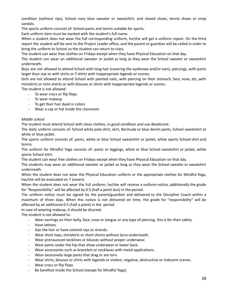condition (without rips), School navy blue sweater or sweatshirt, and closed shoes, tennis shoes or strap sandals.

The sports uniform consists of: School pants and tennis suitable for sports.

Each uniform item must be marked with the student's full name.

When a student does not wear the full corresponding uniform, he/she will get a uniform report. On the third report the student will be sent to the Project Leader office, and the parent or guardian will be called in order to bring the uniform to School so the student can return to class.

The student can wear free clothes on Fridays except when they have Physical Education on that day.

The student can wear an additional sweater or jacket as long as they wear the School sweater or sweatshirt underneath.

Boys are not allowed to attend School with long hair (covering the eyebrows and/or ears), piercings, with pants larger than size or with shirts or T-shirts with inappropriate legends or scenes.

Girls are not allowed to attend School with painted nails, with piercing on their stomach, face, nose, etc.,with miniskirts or mini-shorts or with blouses or shirts with inappropriate legends or scenes.

The student is not allowed:

- To wear crocs or flip flops
- To wear makeup
- To get their hair dyed in colors
- Wear a cap or hat inside the classroom

# *Middle school*

The student must attend School with clean clothes, in good condition and use deodorant.

The daily uniform consists of: School white polo shirt, skirt, Bermuda or blue denim pants, School sweatshirt or white or blue jacket.

The sports uniform consists of: pants, white or blue School sweatshirt or jacket, white sports School shirt and tennis.

The uniform for Mindful Yoga consists of: pants or leggings, white or blue School sweatshirt or jacket, white sports School shirt.

The student can wear free clothes on Fridays except when they have Physical Education on that day.

The students may wear an additional sweater or jacket as long as they wear the School sweater or sweatshirt underneath.

When the student does not wear the Physical Education uniform or the appropriate clothes for Mindful Yoga, hw/she will be evaluated on 7 (seven).

When the student does not wear the full uniform, he/she will receive a uniform notice, additionally the grade for "Responsibility" will be affected by 0.5 (half a point less) in the period.

The uniform notice must be signed by the parent/guardian and delivered to the Discipline Coach within a maximum of three days. When this notice is not delivered on time, the grade for "responsibility" will be affected by an additional 0.5 (half a point) in the period.

In case of wearing makeup, it should be discreet.

The student is not allowed to:

- Wear earrings on their belly, face, nose or tongue or any type of piercing, this is for their safety.

- Have tattoos.
- Dye the hair or have colored rays or strands.
- Wear short tops, miniskirts or short shorts without lycra underneath.
- Wear pronounced necklines or blouses without proper underwear.
- Wear pants under the hip that show underwear or lower back.
- Wear accessories such as bracelets or necklaces with metal applications.
- Wear excessively large pants that drag or are torn.
- Wear shirts, blouses or shirts with legends or violent, negative, destructive or indecent scenes.
- Wear crocs or flip flops.
- Be barefoot inside the School (except for Mindful Yoga).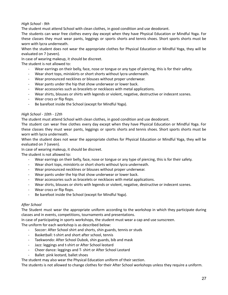# *High School - 9th*

The student must attend School with clean clothes, in good condition and use deodorant.

The students can wear free clothes every day except when they have Physical Education or Mindful Yoga. For these classes they must wear pants, leggings or sports shorts and tennis shoes. Short sports shorts must be worn with lycra underneath.

When the student does not wear the appropriate clothes for Physical Education or Mindful Yoga, they will be evaluated on 7 (seven).

In case of wearing makeup, it should be discreet.

The student is not allowed to:

- Wear earrings on their belly, face, nose or tongue or any type of piercing, this is for their safety.
- Wear short tops, miniskirts or short shorts without lycra underneath.
- Wear pronounced necklines or blouses without proper underwear.
- Wear pants under the hip that show underwear or lower back.
- Wear accessories such as bracelets or necklaces with metal applications.
- Wear shirts, blouses or shirts with legends or violent, negative, destructive or indecent scenes.
- Wear crocs or flip flops.
- Be barefoot inside the School (except for Mindful Yoga).

## *High School - 10th - 12th*

The student must attend School with clean clothes, in good condition and use deodorant.

The student can wear free clothes every day except when they have Physical Education or Mindful Yoga. For these classes they must wear pants, leggings or sports shorts and tennis shoes. Short sports shorts must be worn with lycra underneath.

When the student does not wear the appropriate clothes for Physical Education or Mindful Yoga, they will be evaluated on 7 (seven).

In case of wearing makeup, it should be discreet.

The student is not allowed to:

- Wear earrings on their belly, face, nose or tongue or any type of piercing, this is for their safety.
- Wear short tops, miniskirts or short shorts without lycra underneath.
- Wear pronounced necklines or blouses without proper underwear.
- Wear pants under the hip that show underwear or lower back.
- Wear accessories such as bracelets or necklaces with metal applications.
- Wear shirts, blouses or shirts with legends or violent, negative, destructive or indecent scenes.
- Wear crocs or flip flops.
- Be barefoot inside the School (except for Mindful Yoga).

# *After School*

The Student must wear the appropriate uniform according to the workshop in which they participate during classes and in events, competitions, tournaments and presentations.

In case of participating in sports workshops, the student must wear a cap and use sunscreen.

The uniform for each workshop is as described below:

- Soccer: After School shirt and shorts, shin guards, tennis or studs
- Basketball: t-shirt and short after school, tennis
- Taekwondo: After School Dubok, shin guards, bib and mask
- Jazz: leggings and t-shirt or After School leotard
- Cheer dance: leggings and T- shirt or After School Leotard
- Ballet: pink leotard, ballet shoes

The student may also wear the Physical Education uniform of their section.

The students is not allowed to change clothes for their After School workshops unless they require a uniform.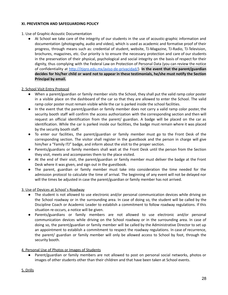## **XI. PREVENTION AND SAFEGUARDING POLICY**

## 1. Use of Graphic-Acoustic Documentation

● At School we take care of the integrity of our students in the use of acoustic-graphic information and documentation (photography, audio and video), which is used as academic and formative proof of their progress, through means such as: credential of student, website, TJ-Magazine, TJ-Radio, TJ-Television, brochures, magazines, etc. Our priority is to ensure the necessary protection and care of our students in the preservation of their physical, psychological and social integrity on the basis of respect for their dignity, thus complying with the Federal Law on Protection of Personal Data (you can review the notice of confidentiality at [http://itjqro.edu.mx/aviso-de-privacidad/\)](http://itjqro.edu.mx/aviso-de-privacidad/). **In the event that the parent/guardian decides for his/her child or ward not to appear in these testimonials, he/she must notify the Section Principal by email.**

## 2. School Visit Entry Protocol

- When a parent/guardian or family member visits the School, they shall put the valid ramp color poster in a visible place on the dashboard of the car so that they are allowed to enter the School. The valid ramp color poster must remain visible while the car is parked inside the school facilities.
- In the event that the parent/guardian or family member does not carry a valid ramp color poster, the security booth staff will confirm the access authorization with the corresponding section and then will request an official identification from the parent/ guardian. A badge will be placed on the car as identification. While the car is parked inside our facilities, the badge must remain where it was placed by the security booth staff.
- To enter our facilities, the parent/guardian or family member must go to the Front Desk of the corresponding section. The visitor shall register in the guestbook and the person in charge will give him/her a "Family ITJ" badge, and inform about the visit to the proper section.
- Parents/guardians or family members shall wait at the Front Desk until the person from the Section they visit, meets and accompanies them to the place visited.
- At the end of their visit, the parent/guardian or family member must deliver the badge at the Front Desk where it was given, and sign out in the guestbook.
- The parent, guardian or family member must take into consideration the time needed for the admission protocol to calculate the time of arrival. The beginning of any event will not be delayed nor will the times be adjusted in case the parent/guardian or family member has not arrived.

# 3. Use of Devices at School´s Roadway

- The student is not allowed to use electronic and/or personal communication devices while driving on the School roadway or in the surrounding area. In case of doing so, the student will be called by the Discipline Coach or Academic Leader to establish a commitment to follow roadway regulations. If this situation re-occurs, a notice will be given.
- Parents/guardians or family members are not allowed to use electronic and/or personal communication devices while driving on the School roadway or in the surrounding area. In case of doing so, the parent/guardian or family member will be called by the Administrative Director to set up an appointment to establish a commitment to respect the roadway regulations. In case of recurrence, the parent/ guardian or family member will only be allowed access to School by foot, through the security booth.

# 4. Personal Use of Photos or Images of Students

Parent/guardian or family members are not allowed to post on personal social networks, photos or images of other students other than their children and that have been taken at School events.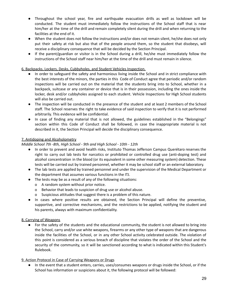- Throughout the school year, fire and earthquake evacuation drills as well as lockdown will be conducted. The student must immediately follow the instructions of the School staff that is near him/her at the time of the drill and remain completely silent during the drill and when returning to the facilities at the end of it.
- When the student does not follow the instructions and/or does not remain silent, he/she does not only put their safety at risk but also that of the people around them, so the student that disobeys, will receive a disciplinary consequence that will be decided by the Section Principal.
- If the parent/guardian or visitor is in the School during a drill, he/she must immediately follow the instructions of the School staff near him/her at the time of the drill and must remain in silence.

# 6. Backpacks, Lockers, Desks, Cubbyholes, and Student Vehicles Inspection.

- In order to safeguard the safety and harmonious living inside the School and in strict compliance with the best interests of the minors, the parties in this Code of Conduct agree that periodic and/or random inspections will be carried out on the material that the students bring into to School, whether in a backpack, suitcase or any container or device that is in their possession, including the ones inside the locker, desk and/or cubbyholes assigned to each student. Vehicle Inspections for High School students will also be carried out.
- The inspection will be conducted in the presence of the student and at least 2 members of the School staff. The School reserves the right to take evidence of said inspection to verify that it is not performed arbitrarily. This evidence will be confidential.
- In case of finding any material that is not allowed, the guidelines established in the "Belongings" section within this Code of Conduct shall be followed, in case the inappropriate material is not described in it, the Section Principal will decide the disciplinary consequence.

# 7. Antidoping and Alcoholometry

## *Middle School 7th -8th, High School - 9th and High School - 10th - 12th*

- In order to prevent and avoid health risks, Instituto Thomas Jefferson Campus Querétaro reserves the right to carry out lab tests for narcotics or prohibited or controlled drug use (anti-doping test) and alcohol concentration in the blood (or its equivalent in some other measuring system) detection. These tests will be carried out by trained personnel, whether it may be school staff or an external laboratory.
- The lab tests are applied by trained personnel and under the supervision of the Medical Department or the department that assumes various functions in the ITJ.
- The tests may be as a result of any of the following situations:
	- o A random system without prior notice.
	- o Behavior that leads to suspicion of drug use or alcohol abuse.
	- o Suspicious attitudes that suggest there is a problem of this nature.
- In cases where positive results are obtained, the Section Principal will define the preventive, supportive, and corrective mechanisms, and the restrictions to be applied, notifying the student and his parents, always with maximum confidentiality.

## 8. Carrying of Weapons

● For the safety of the students and the educational community, the student is not allowed to bring into the School, carry and/or use white weapons, firearms or any other type of weapons that are dangerous inside the facilities of the School, or in any other School activity celebrated outside. The violation of this point is considered as a serious breach of discipline that violates the order of the School and the security of the community, so it will be sanctioned according to what is indicated within this Student's Rulebook.

# 9. Action Protocol in Case of Carrying Weapons or Drugs

● In the event that a student enters, carries, uses/consumes weapons or drugs inside the School, or if the School has information or suspicions about it, the following protocol will be followed: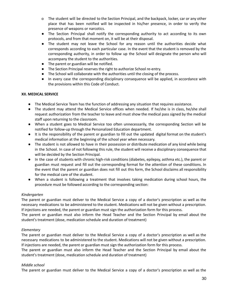- o The student will be directed to the Section Principal, and the backpack, locker, car or any other place that has been notified will be inspected in his/her presence, in order to verify the presence of weapons or narcotics.
- The Section Principal shall notify the corresponding authority to act according to its own protocols, and from that moment on, it will be at their disposal.
- The student may not leave the School for any reason until the authorities decide what corresponds according to each particular case. In the event that the student is removed by the corresponding authority, in order to follow up the School will designate the person who will accompany the student to the authorities.
- The parent or guardian will be notified.
- The Section Principal reserves the right to authorize School re-entry.
- The School will collaborate with the authorities until the closing of the process.
- In every case the corresponding disciplinary consequence will be applied, in accordance with the provisions within this Code of Conduct.

## **XII. MEDICAL SERVICE**

- The Medical Service Team has the function of addressing any situation that requires assistance.
- The student may attend the Medical Service offices when needed. If he/she is in class, he/she shall request authorization from the teacher to leave and must show the medical pass signed by the medical staff upon returning to the classroom.
- When a student goes to Medical Service too often unnecessarily, the corresponding Section will be notified for follow-up through the Personalized Education department.
- It is the responsibility of the parent or guardian to fill out the updated digital format on the student's medical information at the beginning of the school year when necessary.
- The student is not allowed to have in their possession or distribute medication of any kind while being in the School. In case of not following this rule, the student will receive a disciplinary consequence that will be decided by the Section Principal.
- In the case of students with chronic high-risk conditions (diabetes, epilepsy, asthma etc.), the parent or guardian must request and fill out the corresponding format for the attention of these conditions. In the event that the parent or guardian does not fill out this form, the School disclaims all responsibility for the medical care of the student.
- When a student is following a treatment that involves taking medication during school hours, the procedure must be followed according to the corresponding section:

## *Kindergarten*

The parent or guardian must deliver to the Medical Service a copy of a doctor's prescription as well as the necessary medications to be administered to the student. Medications will not be given without a prescription. If injections are needed, the parent or guardian must sign the authorization form for this process.

The parent or guardian must also inform the Head Teacher and the Section Principal by email about the student's treatment (dose, medication schedule and duration of treatment)

## *Elementary*

The parent or guardian must deliver to the Medical Service a copy of a doctor's prescription as well as the necessary medications to be administered to the student. Medications will not be given without a prescription. If injections are needed, the parent or guardian must sign the authorization form for this process.

The parent or guardian must also inform the Head Teacher and the Section Principal by email about the student's treatment (dose, medication schedule and duration of treatment)

## *Middle school*

The parent or guardian must deliver to the Medical Service a copy of a doctor's prescription as well as the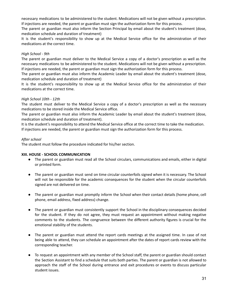necessary medications to be administered to the student. Medications will not be given without a prescription. If injections are needed, the parent or guardian must sign the authorization form for this process.

The parent or guardian must also inform the Section Principal by email about the student's treatment (dose, medication schedule and duration of treatment)

It is the student's responsibility to show up at the Medical Service office for the administration of their medications at the correct time.

# *High School - 9th*

The parent or guardian must deliver to the Medical Service a copy of a doctor's prescription as well as the necessary medications to be administered to the student. Medications will not be given without a prescription. If injections are needed, the parent or guardian must sign the authorization form for this process.

The parent or guardian must also inform the Academic Leader by email about the student's treatment (dose, medication schedule and duration of treatment)

It is the student's responsibility to show up at the Medical Service office for the administration of their medications at the correct time.

## *High School 10th - 12th*

The student must deliver to the Medical Service a copy of a doctor's prescription as well as the necessary medications to be stored inside the Medical Service office.

The parent or guardian must also inform the Academic Leader by email about the student's treatment (dose, medication schedule and duration of treatment).

It is the student's responsibility to attend the Medical Service office at the correct time to take the medication. If injections are needed, the parent or guardian must sign the authorization form for this process.

## *After school*

The student must follow the procedure indicated for his/her section.

## **XIII. HOUSE - SCHOOL COMMUNICATION**

- The parent or guardian must read all the School circulars, communications and emails, either in digital or printed form.
- The parent or guardian must send on time circular counterfoils signed when it is necessary. The School will not be responsible for the academic consequences for the student when the circular counterfoils signed are not delivered on time.
- The parent or guardian must promptly inform the School when their contact details (home phone, cell phone, email address, fixed address) change.
- The parent or guardian must consistently support the School in the disciplinary consequences decided for the student. If they do not agree, they must request an appointment without making negative comments to the students. The congruence between the different authority figures is crucial for the emotional stability of the students.
- The parent or guardian must attend the report cards meetings at the assigned time. In case of not being able to attend, they can schedule an appointment after the dates of report cards review with the corresponding teacher.
- To request an appointment with any member of the School staff, the parent or guardian should contact the Section Assistant to find a schedule that suits both parties. The parent or guardian is not allowed to approach the staff of the School during entrance and exit procedures or events to discuss particular student issues.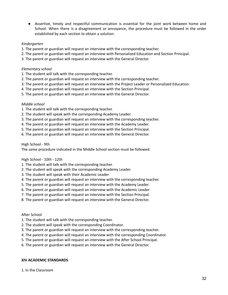● Assertive, timely and respectful communication is essential for the joint work between home and School. When there is a disagreement or annoyance, the procedure must be followed in the order established by each section to obtain a solution:

## *Kindergarten*

- 1. The parent or guardian will request an interview with the corresponding teacher.
- 2. The parent or guardian will request an interview with Personalized Education and Section Principal.
- 3. The parent or guardian will request an interview with the General Director.

## *Elementary school*

- 1. The student will talk with the corresponding teacher.
- 2. The parent or guardian will request an interview with the corresponding teacher.
- 3. The parent or guardian will request an interview with the Project Leader or Personalized Education.
- 4. The parent or guardian will request an interview with the Section Principal.
- 5. The parent or guardian will request an interview with the General Director.

## *Middle school*

- 1. The student will talk with the corresponding teacher.
- 2. The student will speak with the corresponding Academy Leader.
- 3. The parent or guardian will request an interview with the corresponding teacher.
- 4. The parent or guardian will request an interview with the Academy Leader.
- 5. The parent or guardian will request an interview with the Section Principal.
- 6. The parent or guardian will request an interview with the General Director.

High School - 9th

The same procedure indicated in the Middle School section must be followed.

## High School - 10th - 12th

- 1. The student will talk with the corresponding teacher.
- 2. The student will speak with the corresponding Academy Leader.
- 3. The student will speak with their Academic Leader
- 4. The parent or guardian will request an interview with the corresponding teacher.
- 5. The parent or guardian will request an interview with the Academy Leader.
- 6. The parent or guardian will request an interview with the Academic Leader
- 7. The parent or guardian will request an interview with the Section Principal.
- 8. The parent or guardian will request an interview with the General Director.

## After School

- 1. The student will talk with the corresponding teacher.
- 2. The student will speak with the corresponding Coordinator.
- 3. The parent or guardian will request an interview with the corresponding teacher.
- 4. The parent or guardian will request an interview with the corresponding Coordinator.
- 5. The parent or guardian will request an interview with the After School Principal.
- 6. The parent or guardian will request an interview with the General Director.

## **XIV ACADEMIC STANDARDS**

1. In the Classroom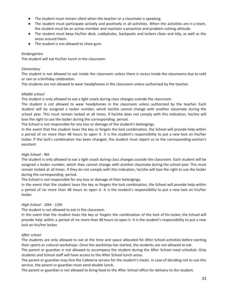- The student must remain silent when the teacher or a classmate is speaking.
- The student must participate actively and positively in all activities. When the activities are in a team, the student must be an active member and maintain a proactive and problem solving attitude.
- The student must keep his/her desk, cubbyholes, backpacks and lockers clean and tidy, as well as the areas around them.
- The student is not allowed to chew gum.

## *Kindergarten*

The student will eat his/her lunch in the classroom.

## *Elementary*

The student is not allowed to eat inside the classroom unless there is recess inside the classrooms due to cold or rain or a birthday celebration.

The students are not allowed to wear headphones in the classroom unless authorized by the teacher.

## *Middle school*

The student is only allowed to eat a light snack during class changes outside the classroom.

The student is not allowed to wear headphones in the classroom unless authorized by the teacher. Each student will be assigned a locker number, which he/she cannot change with another classmate during the school year. This must remain locked at all times. If he/she does not comply with this indication, he/she will lose the right to use the locker during the corresponding period.

The School is not responsible for any loss or damage of the student's belongings.

In the event that the student loses the key or forgets the lock combination, the School will provide help within a period of no more than 48 hours to open it. It is the student's responsibility to put a new lock on his/her locker. If the lock's combination has been changed, the student must report so to the corresponding section's assistant.

# *High School - 9th*

The student is only allowed to eat a light snack during class changes outside the classroom. Each student will be assigned a locker number, which they cannot change with another classmate during the school year. This must remain locked at all times. If they do not comply with this indication, he/she will lose the right to use the locker during the corresponding period.

The School is not responsible for any loss or damage of their belongings.

In the event that the student loses the key or forgets the lock combination, the School will provide help within a period of no more than 48 hours to open it. It is the student's responsibility to put a new lock on his/her locker.

# *High School - 10th - 12th*

The student is not allowed to eat in the classroom.

In the event that the student loses the key or forgets the combination of the lock of his locker, the School will provide help within a period of no more than 48 hours to open it. It is the student's responsibility to put a new lock on his/her locker.

# *After school*

The students are only allowed to eat at the time and space allocated for After School activities before starting their sports or cultural workshops. Once the workshop has started, the students are not allowed to eat.

The parent or guardian is not allowed to accompany the student during the After School meal schedule. Only students and School staff will have access to the After School lunch areas.

The parent or guardian may hire the Cafeteria service for the student's meals. In case of deciding not to use this service, the parent or guardian must send double lunch.

The parent or guardian is not allowed to bring food to the After School office for delivery to the student.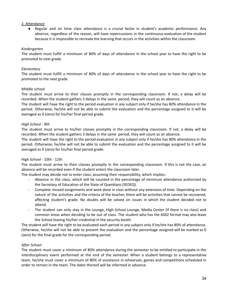## 2. Attendance

● Regular and on time class attendance is a crucial factor in student's academic performance. Any absence, regardless of the reason, will have repercussions in the continuous evaluation of the student because it is impossible to recreate the learning that occurs in the activities within the classroom.

## *Kindergarten*

The student must fulfill a minimum of 80% of days of attendance in the school year to have the right to be promoted to next grade.

## *Elementary*

The student must fulfill a minimum of 80% of days of attendance in the school year to have the right to be promoted to the next grade.

## Middle school

The student must arrive to their classes promptly in the corresponding classroom. If not, a delay will be recorded. When the student gathers 3 delays in the same period, they will count as an absence.

The student will have the right to the period evaluation in any subject only if he/she has 80% attendance in the period. Otherwise, he/she will not be able to submit the evaluation and the percentage assigned to it will be averaged as 0 (zero) for his/her final period grade.

## *High School - 9th*

The student must arrive to his/her classes promptly in the corresponding classroom. If not, a delay will be recorded. When the student gathers 3 delays in the same period, they will count as an absence.

The student will have the right to the period evaluation in any subject only if he/she has 80% attendance in the period. Otherwise, he/she will not be able to submit the evaluation and the percentage assigned to it will be averaged as 0 (zero) for his/her final period grade.

## High School - 10th - 12th

The student must arrive to their classes promptly in the corresponding classroom. If this is not the case, an absence will be recorded even if the student enters the classroom later.

The student may decide not to enter class, assuming their responsibility, which implies:

- Absence in the class, which will be counted in the percentage of minimum attendance authorized by the Secretary of Education of the State of Querétaro (SEDEQ).
- Complete missed assignments and work done in class without any extension of time. Depending on the nature of the activities and the criteria of the teacher, there will be activities that cannot be recovered, affecting student's grade. No doubts will be solved on issues in which the student decided not to attend.
- The student can only stay in the Lounge, High School Lounge, Media Center (if there is no class) and common areas when deciding to be out of class. The student who has the AS02 format may also leave the School leaving his/her credential in the security booth.

The student will have the right to be evaluated each period in any subject only if he/she has 80% of attendance. Otherwise, he/she will not be able to present the evaluation and the percentage assigned will be marked as 0 (zero) for the final grade for the corresponding period.

# *After School*

The student must cover a minimum of 80% attendance during the semester to be entitled to participate in the interdisciplinary event performed at the end of the semester. When a student belongs to a representative team, he/she must cover a minimum of 80% of assistance in rehearsals, games and competitions scheduled in order to remain in the team. The dates thereof will be informed in advance.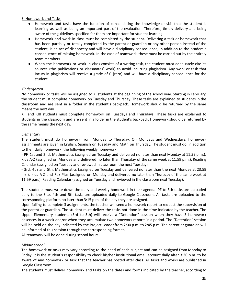## 3. Homework and Tasks

- Homework and tasks have the function of consolidating the knowledge or skill that the student is learning as well as being an important part of the evaluation. Therefore, timely delivery and being aware of the guidelines specified for them are important for student learning.
- Homework and work in class must be completed by the student. Delivering a task or homework that has been partially or totally completed by the parent or guardian or any other person instead of the student, is an act of dishonesty and will have a disciplinary consequence, in addition to the academic consequence of missing homework. In the case of teamwork, these must be carried out by the entirely team members.
- When the homework or work in class consists of a writing task, the student must adequately cite its sources (the publications or classmates' work) to avoid incurring plagiarism. Any work or task that incurs in plagiarism will receive a grade of 0 (zero) and will have a disciplinary consequence for the student.

## *Kindergarten*

No homework or tasks will be assigned to KI students at the beginning of the school year. Starting in February, the student must complete homework on Tuesday and Thursday. These tasks are explained to students in the classroom and are sent in a folder in the student's backpack. Homework should be returned by the same means the next day.

KII and KIII students must complete homework on Tuesdays and Thursdays. These tasks are explained to students in the classroom and are sent in a folder in the student's backpack. Homework should be returned by the same means the next day.

## *Elementary*

The student must do homework from Monday to Thursday. On Mondays and Wednesdays, homework assignments are given in English, Spanish on Tuesday and Math on Thursday. The student must do, in addition to their daily homework, the following weekly homework:

- PF, 1st and 2nd: Mathematics (assigned on Tuesday and delivered no later than next Monday at 11:59 p.m.), Kids A-Z (assigned on Monday and delivered no later than Thursday of the same week at 11:59 p.m.), Reading Calendar (assigned on Tuesday and reviewed in classroom the next Tuesday).

- 3rd, 4th and 5th: Mathematics (assigned on Tuesday and delivered no later than the next Monday at 23:59 hrs.), Kids A-Z and Raz Plus (assigned on Monday and delivered no later than Thursday of the same week at 11:59 p.m.), Reading Calendar (assigned on Tuesday and reviewed in the classroom next Tuesday).

The students must write down the daily and weekly homework in their agenda. PF to 3th tasks are uploaded daily to the Site. 4th and 5th tasks are uploaded daily to Google Classroom. All tasks are uploaded to the corresponding platform no later than 3:15 p.m. of the day they are assigned.

Upon failing to complete 3 assignments, the teacher will send a homework report to request the supervision of the parent or guardian. The student must deliver the tasks not done in the time indicated by the teacher. The Upper Elementary students (3rd to 5th) will receive a "Detention" session when they have 3 homework absences in a week and/or when they accumulate two homework reports in a period. The "Detention" session will be held on the day indicated by the Project Leader from 2:00 p.m. to 2:45 p.m. The parent or guardian will be informed of this session through the corresponding format.

All teamwork will be done during school hours.

## *Middle school*

The homework or tasks may vary according to the need of each subject and can be assigned from Monday to Friday. It is the student's responsibility to check his/her institutional email account daily after 3:30 p.m. to be aware of any homework or task that the teacher has posted after class. All tasks and works are published in Google Classroom.

The students must deliver homework and tasks on the dates and forms indicated by the teacher, according to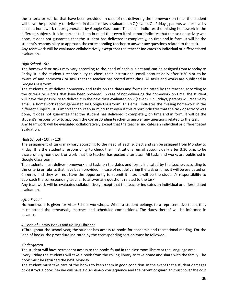the criteria or rubrics that have been provided. In case of not delivering the homework on time, the student will have the possibility to deliver it in the next class evaluated on 7 (seven). On Fridays, parents will receive by email, a homework report generated by Google Classroom. This email indicates the missing homework in the different subjects. It is important to keep in mind that even if this report indicates that the task or activity was done, it does not guarantee that the student has delivered it completely, on time and in form. It will be the student's responsibility to approach the corresponding teacher to answer any questions related to the task. Any teamwork will be evaluated collaboratively except that the teacher indicates an individual or differentiated evaluation.

## *High School - 9th*

The homework or tasks may vary according to the need of each subject and can be assigned from Monday to Friday. It is the student's responsibility to check their institutional email account daily after 3:30 p.m. to be aware of any homework or task that the teacher has posted after class. All tasks and works are published in Google Classroom.

The students must deliver homework and tasks on the dates and forms indicated by the teacher, according to the criteria or rubrics that have been provided. In case of not delivering the homework on time, the student will have the possibility to deliver it in the next class evaluated on 7 (seven). On Fridays, parents will receive by email, a homework report generated by Google Classroom. This email indicates the missing homework in the different subjects. It is important to keep in mind that even if this report indicates that the task or activity was done, it does not guarantee that the student has delivered it completely, on time and in form. It will be the student's responsibility to approach the corresponding teacher to answer any questions related to the task.

Any teamwork will be evaluated collaboratively except that the teacher indicates an individual or differentiated evaluation.

## High School - 10th - 12th

The assignment of tasks may vary according to the need of each subject and can be assigned from Monday to Friday. It is the student's responsibility to check their institutional email account daily after 3:30 p.m. to be aware of any homework or work that the teacher has posted after class. All tasks and works are published in Google Classroom.

The students must deliver homework and tasks on the dates and forms indicated by the teacher, according to the criteria or rubrics that have been provided. In case of not delivering the task on time, it will be evaluated on 0 (zero), and they will not have the opportunity to submit it later. It will be the student's responsibility to approach the corresponding teacher to answer any questions related to the task.

Any teamwork will be evaluated collaboratively except that the teacher indicates an individual or differentiated evaluation.

## *After School*

No homework is given for After School workshops. When a student belongs to a representative team, they must attend the rehearsals, matches and scheduled competitions. The dates thereof will be informed in advance.

## 4. Loan of Library Books and Rolling Libraries

●Throughout the school year, the student has access to books for academic and recreational reading. For the loan of books, the procedure indicated by the corresponding section must be followed:

## *Kindergarten*

The student will have permanent access to the books found in the classroom library at the Language area. Every Friday the students will take a book from the rolling library to take home and share with the family. The book must be returned the next Monday.

The student must take care of the books to keep them in good condition. In the event that a student damages or destroys a book, he/she will have a disciplinary consequence and the parent or guardian must cover the cost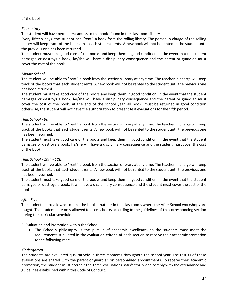of the book.

# *Elementary*

The student will have permanent access to the books found in the classroom library.

Every fifteen days, the student can "rent" a book from the rolling library. The person in charge of the rolling library will keep track of the books that each student rents. A new book will not be rented to the student until the previous one has been returned.

The student must take good care of the books and keep them in good condition. In the event that the student damages or destroys a book, he/she will have a disciplinary consequence and the parent or guardian must cover the cost of the book.

# *Middle School*

The student will be able to "rent" a book from the section's library at any time. The teacher in charge will keep track of the books that each student rents. A new book will not be rented to the student until the previous one has been returned.

The student must take good care of the books and keep them in good condition. In the event that the student damages or destroys a book, he/she will have a disciplinary consequence and the parent or guardian must cover the cost of the book. At the end of the school year, all books must be returned in good condition otherwise, the student will not have the authorization to present test evaluations for the fifth period.

# *High School - 9th*

The student will be able to "rent" a book from the section's library at any time. The teacher in charge will keep track of the books that each student rents. A new book will not be rented to the student until the previous one has been returned.

The student must take good care of the books and keep them in good condition. In the event that the student damages or destroys a book, he/she will have a disciplinary consequence and the student must cover the cost of the book.

# *High School - 10th - 12th*

The student will be able to "rent" a book from the section's library at any time. The teacher in charge will keep track of the books that each student rents. A new book will not be rented to the student until the previous one has been returned.

The student must take good care of the books and keep them in good condition. In the event that the student damages or destroys a book, it will have a disciplinary consequence and the student must cover the cost of the book.

# *After School*

The student is not allowed to take the books that are in the classrooms where the After School workshops are taught. The students are only allowed to access books according to the guidelines of the corresponding section during the curricular schedule.

# 5. Evaluation and Promotion within the School

• The School's philosophy is the pursuit of academic excellence, so the students must meet the requirements stipulated in the evaluation criteria of each section to receive their academic promotion to the following year:

# *Kindergarten*

The students are evaluated qualitatively in three moments throughout the school year. The results of these evaluations are shared with the parent or guardian on personalized appointments. To receive their academic promotion, the student must accredit the three evaluations satisfactorily and comply with the attendance and guidelines established within this Code of Conduct.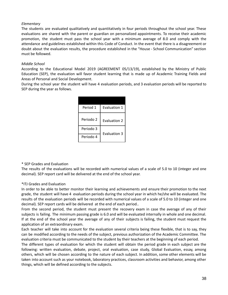# *Elementary*

The students are evaluated qualitatively and quantitatively in four periods throughout the school year. These evaluations are shared with the parent or guardian on personalized appointments. To receive their academic promotion, the student must pass the school year with a minimum average of 8.0 and comply with the attendance and guidelines established within this Code of Conduct. In the event that there is a disagreement or doubt about the evaluation results, the procedure established in the "House - School Communication" section must be followed.

# *Middle School*

According to the Educational Model 2019 (AGREEMENT 05/13/19), established by the Ministry of Public Education (SEP), the evaluation will favor student learning that is made up of Academic Training Fields and Areas of Personal and Social Development.

During the school year the student will have 4 evaluation periods, and 3 evaluation periods will be reported to SEP during the year as follows.

| Period 1  | Evaluation 1        |
|-----------|---------------------|
| Periodo 2 | Evaluation 2        |
| Periodo 3 | <b>Evaluation 3</b> |
| Periodo 4 |                     |

# \* SEP Grades and Evaluation

The results of the evaluations will be recorded with numerical values of a scale of 5.0 to 10 (integer and one decimal). SEP report card will be delivered at the end of the school year.

# \*ITJ Grades and Evaluation

In order to be able to better monitor their learning and achievements and ensure their promotion to the next grade, the student will have 4 evaluation periods during the school year in which he/she will be evaluated. The results of the evaluation periods will be recorded with numerical values of a scale of 5.0 to 10 (integer and one decimal). SEP report cards will be delivered at the end of each period..

From the second period, the student must present the recovery exam in case the average of any of their subjects is failing. The minimum passing grade is 6.0 and will be evaluated internally in whole and one decimal. If at the end of the school year the average of any of their subjects is failing, the student must request the application of an extraordinary exam.

Each teacher will take into account for the evaluation several criteria being these flexible, that is to say, they can be modified according to the needs of the subject, previous authorization of the Academic Committee. The evaluation criteria must be communicated to the student by their teachers at the beginning of each period.

The different types of evaluation for which the student will obtain the period grade in each subject are the following: written evaluation, debate, project, oral evaluation, case study, Global Evaluation, essay, among others, which will be chosen according to the nature of each subject. In addition, some other elements will be taken into account such as your notebook, laboratory practices, classroom activities and behavior, among other things, which will be defined according to the subjects.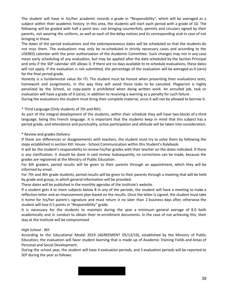The student will have in his/her academic records a grade in "Responsibility", which will be averaged as a subject within their academic history. In this area, the students will start each period with a grade of 10. The following will be graded with half a point less: not bringing counterfoils, permits and circulars signed by their parents, not wearing the uniform, as well as each of the delay notices and its corresponding stub in case of not bringing in these.

The dates of the period evaluations and the extemporaneous dates will be scheduled so that the students do not miss them. The evaluations may only be re-scheduled in strictly necessary cases and according to the USEBEQ calendar with the prior authorization of the Academic Committee. Such changes may not in any case mean early scheduling of any evaluation, but may be applied after the date scheduled by the Section Principal and only if the SEP calendar still allows it. If there are no days available to re-schedule evaluations, these dates will not apply. If the evaluation is not submitted, the percentage of the evaluation will be averaged as 0 (zero) for the final period grade.

Honesty is a fundamental value for ITJ. The student must be honest when presenting their evaluations tests, homework and assignments, in this way they will avoid these tasks to be canceled. Plagiarism is highly penalized by the School, so copy-paste is prohibited when doing written work. An annulled job, task or evaluation will have a grade of 0 (zero), in addition to receiving a warning as a penalty for such failure.

During the evaluations the student must bring their complete material, since it will not be allowed to borrow it.

## \* Third Language (Only students of 7th and 8th)

As part of the integral development of the students, within their schedule they will have two blocks of a third language, being this French language. It is important that the students keep in mind that this subject has a period grade, and attendance and punctuality, active participation and attitude will be taken into consideration.

## \* Review and grades Delivery

If there are differences or disagreements with teachers, the student must try to solve them by following the steps established in section XIII: House - School Communication within this Student's Rulebook.

It will be the student's responsibility to review his/her grades with their teacher on the dates indicated. If there is any clarification, it should be done in said review. Subsequently, no corrections can be made, because the grades are registered at the Ministry of Public Education.

For 6th graders, period results will be given to their parents through an appointment, which they will be informed by email.

For 7th and 8th grade students, period results will be given to their parents through a meeting that will be held by grade and group, in which general information will be provided.

These dates will be published in the monthly agendas of the Institute's website.

If a student gets 4 or more subjects below 8 in any of the periods, the student will have a meeting to make a reflection letter and an improvement plan based on the results. Once the letter is signed, the student must take it home for his/her parent´s signature and must return it no later than 2 business days after, otherwise the student will lose 0.5 points in "Responsibility" grade.

It is necessary for the students to maintain during the year a minimum general average of 8.0 both academically and in conduct to obtain their re-enrollment documents. In the case of not achieving this, their stay at the Institute will be compromised

## *High School - 9th*

According to the Educational Model 2019 (AGREEMENT 05/13/19), established by the Ministry of Public Education, the evaluation will favor student learning that is made up of Academic Training Fields and Areas of Personal and Social Development.

During the school year, the student will have 4 evaluation periods, and 3 evaluation periods will be reported to SEP during the year as follows:

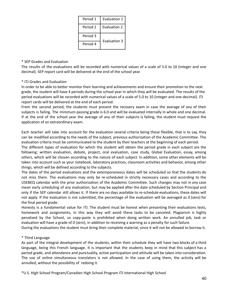| Period 1 | Evaluation 1        |
|----------|---------------------|
| Period 2 | Evaluation 2        |
| Period 3 | <b>Evaluation 3</b> |
| Period 4 |                     |

## \* SEP Grades and Evaluation

The results of the evaluations will be recorded with numerical values of a scale of 5.0 to 10 (integer and one decimal). SEP report card will be delivered at the end of the school year.

## \* ITJ Grades and Evaluation

In order to be able to better monitor their learning and achievements and ensure their promotion to the next grade, the student will have 4 periods during the school year in which they will be evaluated. The results of the period evaluations will be recorded with numerical values of a scale of 5.0 to 10 (integer and one decimal). ITJ report cards will be delivered at the end of each period.

From the second period, the students must present the recovery exam in case the average of any of their subjects is failing. The minimum passing grade is 6.0 and will be evaluated internally in whole and one decimal. If at the end of the school year the average of any of their subjects is failing, the student must request the application of an extraordinary exam.

Each teacher will take into account for the evaluation several criteria being these flexible, that is to say, they can be modified according to the needs of the subject, previous authorization of the Academic Committee. The evaluation criteria must be communicated to the student by their teachers at the beginning of each period.

The different types of evaluation for which the student will obtain the period grade in each subject are the following: written evaluation, debate, project, oral evaluation, case study, Global Evaluation, essay, among others, which will be chosen according to the nature of each subject. In addition, some other elements will be taken into account such as your notebook, laboratory practices, classroom activities and behavior, among other things, which will be defined according to the subjects.

The dates of the period evaluations and the extemporaneous dates will be scheduled so that the students do not miss them. The evaluations may only be re-scheduled in strictly necessary cases and according to the USEBEQ calendar with the prior authorization of the Academic Committee. Such changes may not in any case mean early scheduling of any evaluation, but may be applied after the date scheduled by Section Principal and only if the SEP calendar still allows it. If there are no days available to re-schedule evaluations, these dates will not apply. If the evaluation is not submitted, the percentage of the evaluation will be averaged as 0 (zero) for the final period grade.

Honesty is a fundamental value for ITJ. The student must be honest when presenting their evaluations tests, homework and assignments, in this way they will avoid these tasks to be canceled. Plagiarism is highly penalized by the School, so copy-paste is prohibited when doing written work. An annulled job, task or evaluation will have a grade of 0 (zero), in addition to receiving a warning as a penalty for such failure.

During the evaluations the student must bring their complete material, since it will not be allowed to borrow it.

## \* Third Language

As part of the integral development of the students, within their schedule they will have two blocks of a third language, being this French language. It is important that the students keep in mind that this subject has a period grade, and attendance and punctuality, active participation and attitude will be taken into consideration. The use of online simultaneous translators is not allowed. In the case of using them, the activity will be annulled, without the possibility of redoing it.

\*U.S. High School Program/Canadien High School Program ITJ International High School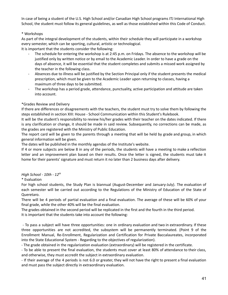In case of being a student of the U.S. High School and/or Canadian High School programs ITJ International High School, the student must follow its general guidelines, as well as those established within this Code of Conduct.

# \* Workshops

As part of the integral development of the students, within their schedule they will participate in a workshop every semester, which can be sporting, cultural, artistic or technological.

It is important that the students consider the following:

- The schedule for entering the workshop is at 2:45 p.m. on Fridays. The absence to the workshop will be justified only by written notice or by email to the Academic Leader. In order to have a grade on the days of absence, it will be essential that the student completes and submits a missed work assigned by the teacher in the following class.
- Absences due to illness will be justified by the Section Principal only if the student presents the medical prescription, which must be given to the Academic Leader upon returning to classes, having a maximum of three days to be submitted.
- The workshop has a period grade, attendance, punctuality, active participation and attitude are taken into account.

## \*Grades Review and Delivery

If there are differences or disagreements with the teachers, the student must try to solve them by following the steps established in section XIII: House - School Communication within this Student's Rulebook.

It will be the student's responsibility to review his/her grades with their teacher on the dates indicated. If there is any clarification or change, it should be made in said review. Subsequently, no corrections can be made, as the grades are registered with the Ministry of Public Education.

The report card will be given to the parents through a meeting that will be held by grade and group, in which general information will be given.

The dates will be published in the monthly agendas of the Institute's website.

If 4 or more subjects are below 8 in any of the periods, the students will have a meeting to make a reflection letter and an improvement plan based on their results. Once the letter is signed, the students must take it home for their parents' signature and must return it no later than 2 business days after delivery.

# *High School - 10th - 12 th*

# \* Evaluation

For high school students, the Study Plan is biannual (August-December and January-July). The evaluation of each semester will be carried out according to the Regulations of the Ministry of Education of the State of Queretaro.

There will be 4 periods of partial evaluation and a final evaluation. The average of these will be 60% of your final grade, while the other 40% will be the final evaluation.

The grades obtained in the second period will be replicated in the first and the fourth in the third period. It is important that the students take into account the following:

- To pass a subject will have three opportunities: one in ordinary evaluation and two in extraordinary. If these three opportunities are not accredited, the subsystem will be permanently terminated. (Point 9 of the Enrollment Manual, Re-Enrollment, Regularization and Certification for Private Baccalaureates, incorporated into the State Educational System - Regarding to the objectives of regularization).

- The grade obtained in the regularization evaluation (extraordinary) will be registered in the certificate.

- To be able to present the final evaluation, the students must cover at least 80% of attendance to their class, and otherwise, they must accredit the subject in extraordinary evaluation.

- If their average of the 4 periods is not 6.0 or greater, they will not have the right to present a final evaluation and must pass the subject directly in extraordinary evaluation.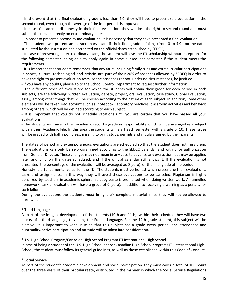- In the event that the final evaluation grade is less than 6.0, they will have to present said evaluation in the second round, even though the average of the four periods is approved.

- In case of academic dishonesty in their final evaluation, they will lose the right to second round and must submit their exam directly on extraordinary dates.

- In order to present a second round evaluation, it is necessary that they have presented a final evaluation.

- The students will present an extraordinary exam if their final grade is failing (from 0 to 5.9), on the dates stipulated by the Institution and accredited on the official dates established by SEDEQ.

- In case of presenting an extraordinary exam, the student will lose the ITJ scholarship without exceptions for the following semester, being able to apply again in some subsequent semester if the student meets the requirements.

- It is important that students remember that any fault, including family trips and extracurricular participations in sports, culture, technological and artistic, are part of their 20% of absences allowed by SEDEQ in order to have the right to present evaluation tests, so the absences cannot, under no circumstances, be justified.

- If you have any doubts, please go to the School Control Department to request further information.

- The different types of evaluations for which the students will obtain their grade for each period in each subjects, are the following: written evaluation, debate, project, oral evaluation, case study, Global Evaluation, essay, among other things that will be chosen according to the nature of each subject. In addition, some other elements will be taken into account such as: notebook, laboratory practices, classroom activities and behavior, among others, which will be defined according to each subject.

- It is important that you do not schedule vacations until you are certain that you have passed all your evaluations.

- The students will have in their academic record a grade in Responsibility which will be averaged as a subject within their Academic File. In this area the students will start each semester with a grade of 10. These issues will be graded with half a point less: missing to bring stubs, permits and circulars signed by their parents.

The dates of period and extemporaneous evaluations are scheduled so that the student does not miss them. The evaluations can only be re-programmed according to the SEDEQ calendar and with prior authorization from General Director. These changes may not mean in any case to advance any evaluation, but may be applied later and only on the dates scheduled, and if the official calendar still allows it. If the evaluation is not presented, the percentage of the evaluation will be averaged as 0 (zero) for the final grade of the period.

Honesty is a fundamental value for the ITJ. The students must be honest when presenting their evaluations, tasks and assignments, in this way they will avoid these evaluations to be canceled. Plagiarism is highly penalized by teachers in academic sphere, so copy-paste is prohibited when doing written work. An annulled homework, task or evaluation will have a grade of 0 (zero), in addition to receiving a warning as a penalty for such failure.

During the evaluations the students must bring their complete material since they will not be allowed to borrow it.

# \* Third Language

As part of the integral development of the students (10th and 11th), within their schedule they will have two blocks of a third language, this being the French language. For the 12th grade student, this subject will be elective. It is important to keep in mind that this subject has a grade every period, and attendance and punctuality, active participation and attitude will be taken into consideration.

\*U.S. High School Program/Canadien High School Program ITJ International High School

In case of being a student of the U.S. High School and/or Canadian High School programs ITJ International High School, the student must follow its general guidelines, as well as those established within this Code of Conduct.

## \* Social Service

As part of the student's academic development and social participation, they must cover a total of 100 hours over the three years of their baccalaureate, distributed in the manner in which the Social Service Regulations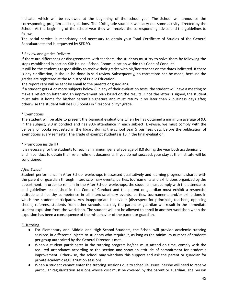indicate, which will be reviewed at the beginning of the school year. The School will announce the corresponding program and regulations. The 10th grade students will carry out some activity directed by the School. At the beginning of the school year they will receive the corresponding advice and the guidelines to follow.

The social service is mandatory and necessary to obtain your Total Certificate of Studies of the General Baccalaureate and is requested by SEDEQ.

# \* Review and grades Delivery

If there are differences or disagreements with teachers, the students must try to solve them by following the steps established in section XIII: House - School Communication within this Code of Conduct.

It will be the student's responsibility to review their grades with his/her teacher on the dates indicated. If there is any clarification, it should be done in said review. Subsequently, no corrections can be made, because the grades are registered at the Ministry of Public Education.

The report card will be sent by email to the parents or guardians.

If a student gets 4 or more subjects below 8 in any of their evaluation tests, the student will have a meeting to make a reflection letter and an improvement plan based on the results. Once the letter is signed, the student must take it home for his/her parent´s signature and must return it no later than 2 business days after, otherwise the student will lose 0.5 points in "Responsibility" grade.

## \* Exemptions

The student will be able to present the biannual evaluations when he has obtained a minimum average of 9.0 in the subject, 9.0 in conduct and has 90% attendance in each subject. Likewise, we must comply with the delivery of books requested in the library during the school year 5 business days before the publication of exemptions every semester. The grade of exempt students is 10 in the final evaluation.

## \* Promotion inside ITJ

It is necessary for the students to reach a minimum general average of 8.0 during the year both academically and in conduct to obtain their re-enrollment documents. If you do not succeed, your stay at the Institute will be conditioned.

# *After School*

Student performance in After School workshops is assessed qualitatively and learning progress is shared with the parent or guardian through interdisciplinary events, parties, tournaments and exhibitions organized by the department. In order to remain in the After School workshops, the students must comply with the attendance and guidelines established in this Code of Conduct and the parent or guardian must exhibit a respectful attitude and healthy competence in all interdisciplinary events, parties, tournaments and/or exhibitions in which the student participates. Any inappropriate behaviour (disrespect for principals, teachers, opposing cheers, referees, students from other schools, etc.) by the parent or guardian will result in the immediate student expulsion from the workshop. The student will not be allowed to enroll in another workshop when the expulsion has been a consequence of the misbehavior of the parent or guardian.

# 6. Tutoring

- For Elementary and Middle and High School Students, the School will provide academic tutoring sessions in different subjects to students who require it, as long as the minimum number of students per group authorized by the General Director is met.
- When a student participates in the tutoring program he/she must attend on time, comply with the required attendance according to the section and show an attitude of commitment for academic improvement. Otherwise, the school may withdraw this support and ask the parent or guardian for private academic regularization sessions.
- When a student cannot enter the tutoring sessions due to schedule issues, he/she will need to receive particular regularization sessions whose cost must be covered by the parent or guardian. The person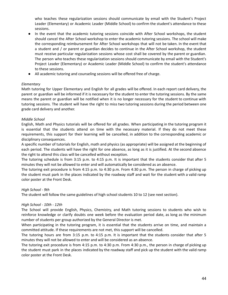who teaches these regularization sessions should communicate by email with the Student's Project Leader (Elementary) or Academic Leader (Middle School) to confirm the student's attendance to these sessions.

- In the event that the academic tutoring sessions coincide with After School workshops, the student should cancel the After School workshop to enter the academic tutoring sessions. The school will make the corresponding reimbursement for After School workshops that will not be taken. In the event that a student and / or parent or guardian decides to continue in the After School workshop, the student must receive particular regularization sessions whose cost shall be covered by the parent or guardian. The person who teaches these regularization sessions should communicate by email with the Student's Project Leader (Elementary) or Academic Leader (Middle School) to confirm the student's attendance to these sessions.
- All academic tutoring and counseling sessions will be offered free of charge.

## *Elementary*

Math tutoring for Upper Elementary and English for all grades will be offered. In each report card delivery, the parent or guardian will be informed if it is necessary for the student to enter the tutoring sessions. By the same means the parent or guardian will be notified when it is no longer necessary for the student to continue with tutoring sessions. The student will have the right to miss two tutoring sessions during the period between one grade card delivery and another.

## *Middle School*

English, Math and Physics tutorials will be offered for all grades. When participating in the tutoring program it is essential that the students attend on time with the necessary material. If they do not meet these requirements, this support for their learning will be cancelled, in addition to the corresponding academic or disciplinary consequences.

A specific number of tutorials for English, math and physics (as appropriate) will be assigned at the beginning of each period. The students will have the right for one absence, as long as it is justified. At the second absence the right to attend this class will be cancelled without exception.

The tutoring schedule is from 3:15 p.m. to 4:15 p.m. It is important that the students consider that after 5 minutes they will not be allowed to enter and will automatically be considered as an absence.

The tutoring exit procedure is from 4:15 p.m. to 4:30 p.m. From 4:30 p.m. The person in charge of picking up the student must park in the places indicated by the roadway staff and wait for the student with a valid ramp color poster at the Front Desk.

## *High School - 9th*

The student will follow the same guidelines of high school students 10 to 12 (see next section).

## *High School - 10th - 12th*

The School will provide English, Physics, Chemistry, and Math tutoring sessions to students who wish to reinforce knowledge or clarify doubts one week before the evaluation period date, as long as the minimum number of students per group authorized by the General Director is met.

When participating in the tutoring program, it is essential that the students arrive on time, and maintain a committed attitude. If these requirements are not met, this support will be cancelled.

The tutoring hours are from 3:15 p.m. to 4:15 p.m. It is important that the students consider that after 5 minutes they will not be allowed to enter and will be considered as an absence.

The tutoring exit procedure is from 4:15 p.m. to 4:30 p.m. From 4:30 p.m., the person in charge of picking up the student must park in the places indicated by the roadway staff and pick up the student with the valid ramp color poster at the Front Desk.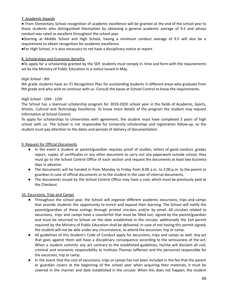## 7. Academic Awards

● From Elementary School recognition of academic excellence will be granted at the end of the school year to those students who distinguished themselves by obtaining a general academic average of 9.5 and whose conduct was rated as excellent throughout the school year.

●Starting at Middle School and High School, having a minimum conduct average of 9.5 will also be a requirement to obtain recognition for academic excellence.

●For High School, it is also necessary to not have a disciplinary notice or report.

#### 8. Scholarships and Economic Benefits

●To apply for a scholarship granted by the SEP, students must comply in time and form with the requirements set by the Ministry of Public Education in a notice issued in May.

## *High School - 9th*

9th grade students have an ITJ Recognition Plan for outstanding students in different areas who graduate from 9th grade and who wish to continue with us. Consult the bases at School Control to know the requirements.

## *High School - 10th - 12th*

The School has a biannual scholarship program for 2019-2020 school year in the fields of Academic, Sports, Artistic, Cultural and Technology Excellence. To know more details of the program the student may request information at School Control.

To apply for scholarships to Universities with agreement, the student must have completed 3 years of high school with us. The School is not responsible for University scholarships and registration follow-up, so the student must pay attention to the dates and periods of delivery of documentation.

## 9. Request for Official Documents

- In the event a student or parent/guardian requires proof of studies, letters of good conduct, grades report, copies of certificates or any other document to carry out any paperwork outside school, they must go to the School Control Office of each section and request the documents at least two business days in advance.
- The documents will be handed in from Monday to Friday from 8:00 a.m. to 2:00 p.m. to the parent or guardian in case of official documents or to the student in the case of internal documents.
- The documents issued by the School Control Office may have a cost, which must be previously paid at the Checkout.

## 10. Excursions, Trips and Camps

- Throughout the school year, the School will organize different academic excursions, trips and camps that provide students the opportunity to enrich and expand their learning. The School will notify the parent/guardian of these outings through printed circulars and/or by email. All circulars related to excursions, trips and camps have a counterfoil that must be filled out, signed by the parent/guardian and must be returned to School on the date established in the circular, additionally the Exit permit required by the Ministry of Public Education shall be delivered. In case of not having this permit signed, the student will not be able under any circumstance, to attend the excursion, trip or camp.
- All guidelines of this Student's Code of Conduct apply for excursions, trips and camps as well. Any act that goes against them will have a disciplinary consequence according to the seriousness of the act. When a student commits any act contrary to the established guidelines, he/she will disclaim all civil, criminal and economic responsibility to Instituto Thomas Jefferson and the personnel responsible for the excursion, trip or camp.
- In the event that the cost of excursions, trips or camps has not been included in the fee that the parent or guardian covers at the beginning of the school year when acquiring their materials, it must be covered in the manner and date established in the circular. When this does not happen, the student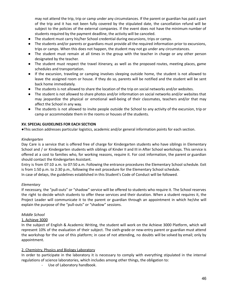may not attend the trip, trip or camp under any circumstances. If the parent or guardian has paid a part of the trip and it has not been fully covered by the stipulated date, the cancellation refund will be subject to the policies of the external companies. If the event does not have the minimum number of students required by the payment deadline, the activity will be canceled.

- The student must carry his/her School credential during excursions, trips or camps.
- The students and/or parents or guardians must provide all the required information prior to excursions, trips or camps. When this does not happen, the student may not go under any circumstances.
- The student must remain at all times in the group with the teacher in charge or any other person designated by the teacher.
- The student must respect the travel itinerary, as well as the proposed routes, meeting places, game schedules and transportation.
- If the excursion, traveling or camping involves sleeping outside home, the student is not allowed to leave the assigned room or house. If they do so, parents will be notified and the student will be sent back home immediately.
- The students is not allowed to share the location of the trip on social networks and/or websites.
- The student is not allowed to share photos and/or information on social networks and/or websites that may jeopardize the physical or emotional well-being of their classmates, teachers and/or that may affect the School in any way.
- The students is not allowed to invite people outside the School to any activity of the excursion, trip or camp or accommodate them in the rooms or houses of the students.

## **XV. SPECIAL GUIDELINES FOR EACH SECTION**

●This section addresses particular logistics, academic and/or general information points for each section.

## *Kindergarten*

Day Care is a service that is offered free of charge for Kindergarten students who have siblings in Elementary School and / or Kindergarten students with siblings of Kinder II and III in After School workshops. This service is offered at a cost to families who, for working reasons, require it. For cost information, the parent or guardian should contact the Kindergarten Assistant.

Entry is from 07:10 a.m. to 07:50 a.m. Following the entrance procedures the Elementary School schedule. Exit is from 1:50 p.m. to 2:30 p.m., following the exit procedure for the Elementary School schedule.

In case of delays, the guidelines established in this Student's Code of Conduct will be followed.

## *Elementary*

If necessary, the "pull-outs" or "shadow" service will be offered to students who require it. The School reserves the right to decide which students to offer these services and their duration. When a student requires it, the Project Leader will communicate it to the parent or guardian through an appointment in which he/she will explain the purpose of the "pull-outs" or "shadow" sessions.

## *Middle School*

## 1. Achieve 3000

In the subject of English & Academic Writing, the student will work on the Achieve 3000 Platform, which will represent 10% of the evaluation of their subject. The sixth-grade or new-entry parent or guardian must attend the workshop for the use of this platform; in case of not attending, no doubts will be solved by email; only by appointment.

## 2. Chemistry, Physics and Biology Laboratory

In order to participate in the laboratory it is necessary to comply with everything stipulated in the internal regulations of science laboratories, which includes among other things, the obligation to:

Use of Laboratory handbook.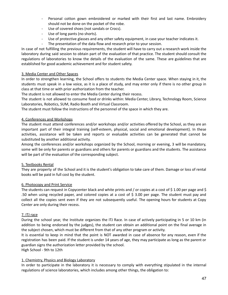- Personal cotton gown embroidered or marked with their first and last name. Embroidery should not be done on the pocket of the robe.
- Use of covered shoes (not sandals or Crocs).
- Use of long pants (no shorts).
- Use of protective glasses and any other safety equipment, in case your teacher indicates it.
- The presentation of the data flow and research prior to your session.

In case of not fulfilling the previous requirements, the student will have to carry out a research work inside the laboratory during said session to obtain part of the evaluation of that practice. The student should consult the regulations of laboratories to know the details of the evaluation of the same. These are guidelines that are established for good academic achievement and for student safety.

# 3. Media Center and Other Spaces

In order to strengthen learning, the School offers to students the Media Center space. When staying in it, the students must speak in a low voice, as it is a place of study, and may enter only if there is no other group in class at that time or with prior authorization from the teacher.

The student is not allowed to enter the Media Center during their recess.

The student is not allowed to consume food or drinks within: Media Center, Library, Technology Room, Science Laboratories, Robotics, SUM, Radio Booth and Virtual Classroom.

The student must follow the instructions of the personnel of the space in which they are.

## 4. Conferences and Workshops

The student must attend conferences and/or workshops and/or activities offered by the School, as they are an important part of their integral training (self-esteem, physical, social and emotional development). In these activities, assistance will be taken and reports or evaluable activities can be generated that cannot be substituted by another additional activity.

Among the conferences and/or workshops organized by the School, morning or evening, 3 will be mandatory, some will be only for parents or guardians and others for parents or guardians and the students. The assistance will be part of the evaluation of the corresponding subject.

## 5. Textbooks Rental

They are property of the School and it is the student's obligation to take care of them. Damage or loss of rental books will be paid in full cost by the student.

## 6. Photocopy and Print Service

The students can request in Copycenter black and white prints and / or copies at a cost of \$ 1.00 per page and \$ .50 when using recycled paper, and colored copies at a cost of \$ 3.00 per page. The student must pay and collect all the copies sent even if they are not subsequently useful. The opening hours for students at Copy Center are only during their recess.

## 7. ITJ race

During the school year, the Institute organizes the ITJ Race. In case of actively participating in 5 or 10 km (in addition to being endorsed by the judges), the student can obtain an additional point on the final average in the subject chosen, which must be different from that of any other program or activity.

It is essential to keep in mind that the point is NOT awarded in case of absence for any reason, even if the registration has been paid. If the student is under 14 years of age, they may participate as long as the parent or guardian signs the authorization letter provided by the school.

High School - 9th to 12th

# 1. Chemistry, Physics and Biology Laboratory

In order to participate in the laboratory it is necessary to comply with everything stipulated in the internal regulations of science laboratories, which includes among other things, the obligation to: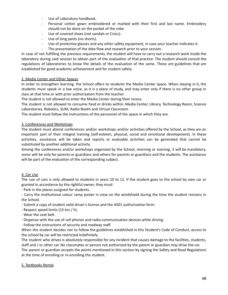- Use of Laboratory handbook.
- Personal cotton gown embroidered or marked with their first and last name. Embroidery should not be done on the pocket of the robe.
- Use of covered shoes (not sandals or Crocs).
- Use of long pants (no shorts).
- Use of protective glasses and any other safety equipment, in case your teacher indicates it.
- The presentation of the data flow and research prior to your session.

In case of not fulfilling the previous requirements, the student will have to carry out a research work inside the laboratory during said session to obtain part of the evaluation of that practice. The student should consult the regulations of laboratories to know the details of the evaluation of the same. These are guidelines that are established for good academic achievement and for student safety.

## 2. Media Center and Other Spaces

In order to strengthen learning, the School offers to students the Media Center space. When staying in it, the students must speak in a low voice, as it is a place of study, and may enter only if there is no other group in class at that time or with prior authorization from the teacher.

The student is not allowed to enter the Media Center during their recess.

The student is not allowed to consume food or drinks within: Media Center, Library, Technology Room, Science Laboratories, Robotics, SUM, Radio Booth and Virtual Classroom.

The student must follow the instructions of the personnel of the space in which they are.

## 3. Conferences and Workshops

The student must attend conferences and/or workshops and/or activities offered by the School, as they are an important part of their integral training (self-esteem, physical, social and emotional development). In these activities, assistance will be taken and reports or evaluable activities can be generated that cannot be substituted by another additional activity.

Among the conferences and/or workshops organized by the School, morning or evening, 3 will be mandatory, some will be only for parents or guardians and others for parents or guardians and the students. The assistance will be part of the evaluation of the corresponding subject.

# *4. Car Use*

The use of cars is only allowed to students in years 10 to 12. If the student goes to the school by own car or granted in accordance by the rightful owner, they must:

- Park in the places assigned for students.

- Carry the institutional colour ramp poster in view on the windshield during the time the student remains in the School.

- Submit a copy of student valid driver's license and the AS01 authorization form.
- Respect speed limits (15 km / h).
- Wear the seat belt.

- Dispense with the use of cell phones and radio communication devices while driving.

- Follow the instructions of security and roadway staff.

When the student decides not to follow the guidelines established in this Student's Code of Conduct, access to the school by car will be restricted indefinitely.

The student who drives is absolutely responsible for any incident that causes damage to the facilities, students, staff and / or other car. No classmates or person not authorized by the parent or guardian may drive the car. The parent or guardian accepts the points mentioned in this section by signing the Safety and Road Regulations at the time of enrolling or re-enrolling the student.

## 5. Textbooks Rental